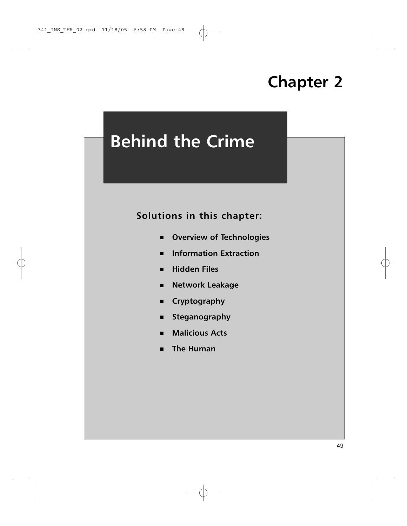# **Chapter 2**

# **Behind the Crime**

#### **Solutions in this chapter:**

- **Overview of Technologies**
- **Information Extraction**
- **Hidden Files**
- **Network Leakage**
- **Cryptography**
- **Steganography**
- **Malicious Acts**
- **The Human**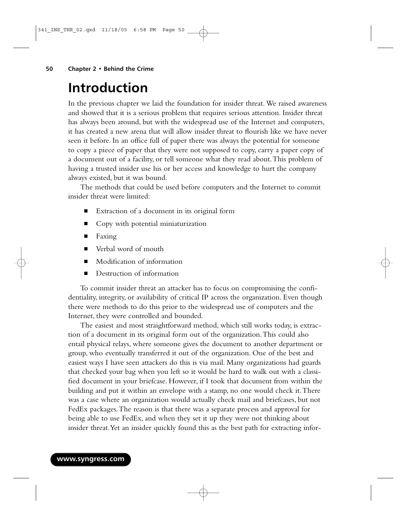# **Introduction**

In the previous chapter we laid the foundation for insider threat. We raised awareness and showed that it is a serious problem that requires serious attention. Insider threat has always been around, but with the widespread use of the Internet and computers, it has created a new arena that will allow insider threat to flourish like we have never seen it before. In an office full of paper there was always the potential for someone to copy a piece of paper that they were not supposed to copy, carry a paper copy of a document out of a facility, or tell someone what they read about.This problem of having a trusted insider use his or her access and knowledge to hurt the company always existed, but it was bound.

The methods that could be used before computers and the Internet to commit insider threat were limited:

- Extraction of a document in its original form
- Copy with potential miniaturization
- Faxing
- Verbal word of mouth
- Modification of information
- Destruction of information

To commit insider threat an attacker has to focus on compromising the confidentiality, integrity, or availability of critical IP across the organization. Even though there were methods to do this prior to the widespread use of computers and the Internet, they were controlled and bounded.

The easiest and most straightforward method, which still works today, is extraction of a document in its original form out of the organization.This could also entail physical relays, where someone gives the document to another department or group, who eventually transferred it out of the organization. One of the best and easiest ways I have seen attackers do this is via mail. Many organizations had guards that checked your bag when you left so it would be hard to walk out with a classified document in your briefcase. However, if I took that document from within the building and put it within an envelope with a stamp, no one would check it.There was a case where an organization would actually check mail and briefcases, but not FedEx packages.The reason is that there was a separate process and approval for being able to use FedEx, and when they set it up they were not thinking about insider threat.Yet an insider quickly found this as the best path for extracting infor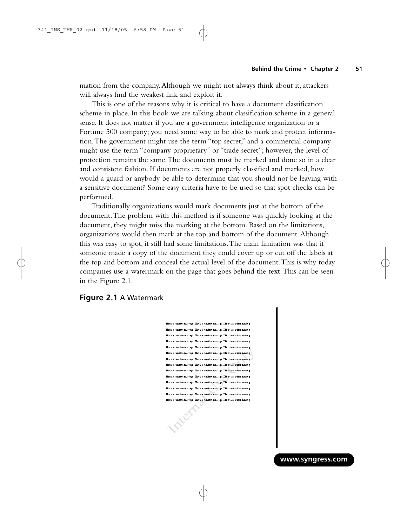mation from the company.Although we might not always think about it, attackers will always find the weakest link and exploit it.

This is one of the reasons why it is critical to have a document classification scheme in place. In this book we are talking about classification scheme in a general sense. It does not matter if you are a government intelligence organization or a Fortune 500 company; you need some way to be able to mark and protect information.The government might use the term "top secret," and a commercial company might use the term "company proprietary" or "trade secret"; however, the level of protection remains the same.The documents must be marked and done so in a clear and consistent fashion. If documents are not properly classified and marked, how would a guard or anybody be able to determine that you should not be leaving with a sensitive document? Some easy criteria have to be used so that spot checks can be performed.

Traditionally organizations would mark documents just at the bottom of the document.The problem with this method is if someone was quickly looking at the document, they might miss the marking at the bottom. Based on the limitations, organizations would then mark at the top and bottom of the document.Although this was easy to spot, it still had some limitations.The main limitation was that if someone made a copy of the document they could cover up or cut off the labels at the top and bottom and conceal the actual level of the document.This is why today companies use a watermark on the page that goes behind the text.This can be seen in the Figure 2.1.

This is a sometime mossage. This is a sometime mossage. This is a sometime mossage This is a sometime massage. This is a sometime massage. This is a sometime massage This is a sometime mossage. This is a sometime mossage. This is a sometime mossage. This is a sometime massage. This is a sometime massage. This is a sometime massage This is a sometime mossage. This is a sometime mossage. This is a sometime mossage. This is a sometime mossage. This is a sometime mossage. This is a sometime mossage. This is a sometime mossage. This is a sometime mossage. This is a sometime mossage. This is a sometime mossage. This is a sometime mossage. This is a sometime mossage. This is a sometime mossage. This is a sometime mossage. This is a sometime mossage. This is a sometime mossage. This is a sometime mossage. This is a sometime mossage. This is a sometime mossage. This is a sometime mossage. This is a sometime mossage. This is a sometime mossage. This is a sometime mossage. This is a sometime mossage. This is a sometime mossage. This is a sometime mossage. This is a sometime mossage. This is a sometime mossa  $\mathfrak{g}_i$  . This is a sometime mossa  $\mathfrak{g}_i$  . This is a sometime mossa  $\mathfrak{g}_i$  .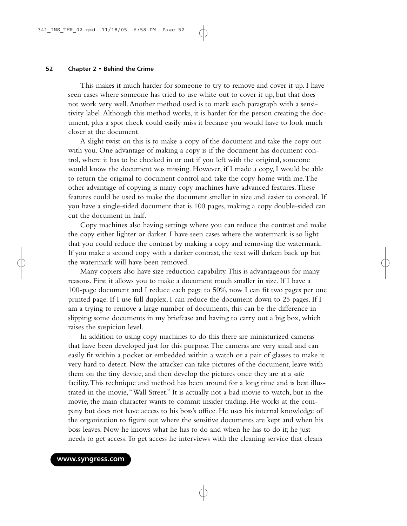This makes it much harder for someone to try to remove and cover it up. I have seen cases where someone has tried to use white out to cover it up, but that does not work very well.Another method used is to mark each paragraph with a sensitivity label.Although this method works, it is harder for the person creating the document, plus a spot check could easily miss it because you would have to look much closer at the document.

A slight twist on this is to make a copy of the document and take the copy out with you. One advantage of making a copy is if the document has document control, where it has to be checked in or out if you left with the original, someone would know the document was missing. However, if I made a copy, I would be able to return the original to document control and take the copy home with me.The other advantage of copying is many copy machines have advanced features.These features could be used to make the document smaller in size and easier to conceal. If you have a single-sided document that is 100 pages, making a copy double-sided can cut the document in half.

Copy machines also having settings where you can reduce the contrast and make the copy either lighter or darker. I have seen cases where the watermark is so light that you could reduce the contrast by making a copy and removing the watermark. If you make a second copy with a darker contrast, the text will darken back up but the watermark will have been removed.

Many copiers also have size reduction capability.This is advantageous for many reasons. First it allows you to make a document much smaller in size. If I have a 100-page document and I reduce each page to 50%, now I can fit two pages per one printed page. If I use full duplex, I can reduce the document down to 25 pages. If I am a trying to remove a large number of documents, this can be the difference in slipping some documents in my briefcase and having to carry out a big box, which raises the suspicion level.

In addition to using copy machines to do this there are miniaturized cameras that have been developed just for this purpose.The cameras are very small and can easily fit within a pocket or embedded within a watch or a pair of glasses to make it very hard to detect. Now the attacker can take pictures of the document, leave with them on the tiny device, and then develop the pictures once they are at a safe facility.This technique and method has been around for a long time and is best illustrated in the movie,"Wall Street." It is actually not a bad movie to watch, but in the movie, the main character wants to commit insider trading. He works at the company but does not have access to his boss's office. He uses his internal knowledge of the organization to figure out where the sensitive documents are kept and when his boss leaves. Now he knows what he has to do and when he has to do it; he just needs to get access.To get access he interviews with the cleaning service that cleans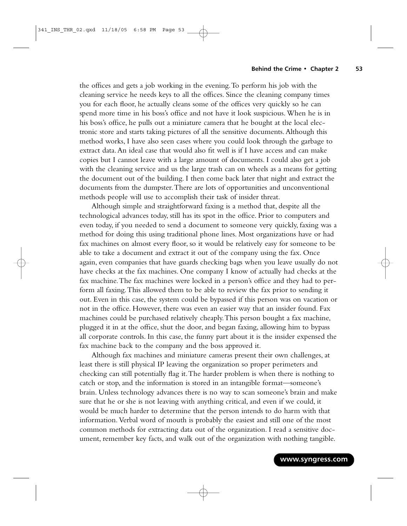the offices and gets a job working in the evening.To perform his job with the cleaning service he needs keys to all the offices. Since the cleaning company times you for each floor, he actually cleans some of the offices very quickly so he can spend more time in his boss's office and not have it look suspicious. When he is in his boss's office, he pulls out a miniature camera that he bought at the local electronic store and starts taking pictures of all the sensitive documents.Although this method works, I have also seen cases where you could look through the garbage to extract data.An ideal case that would also fit well is if I have access and can make copies but I cannot leave with a large amount of documents. I could also get a job with the cleaning service and us the large trash can on wheels as a means for getting the document out of the building. I then come back later that night and extract the documents from the dumpster.There are lots of opportunities and unconventional methods people will use to accomplish their task of insider threat.

Although simple and straightforward faxing is a method that, despite all the technological advances today, still has its spot in the office. Prior to computers and even today, if you needed to send a document to someone very quickly, faxing was a method for doing this using traditional phone lines. Most organizations have or had fax machines on almost every floor, so it would be relatively easy for someone to be able to take a document and extract it out of the company using the fax. Once again, even companies that have guards checking bags when you leave usually do not have checks at the fax machines. One company I know of actually had checks at the fax machine.The fax machines were locked in a person's office and they had to perform all faxing.This allowed them to be able to review the fax prior to sending it out. Even in this case, the system could be bypassed if this person was on vacation or not in the office. However, there was even an easier way that an insider found. Fax machines could be purchased relatively cheaply.This person bought a fax machine, plugged it in at the office, shut the door, and began faxing, allowing him to bypass all corporate controls. In this case, the funny part about it is the insider expensed the fax machine back to the company and the boss approved it.

Although fax machines and miniature cameras present their own challenges, at least there is still physical IP leaving the organization so proper perimeters and checking can still potentially flag it.The harder problem is when there is nothing to catch or stop, and the information is stored in an intangible format—someone's brain. Unless technology advances there is no way to scan someone's brain and make sure that he or she is not leaving with anything critical, and even if we could, it would be much harder to determine that the person intends to do harm with that information. Verbal word of mouth is probably the easiest and still one of the most common methods for extracting data out of the organization. I read a sensitive document, remember key facts, and walk out of the organization with nothing tangible.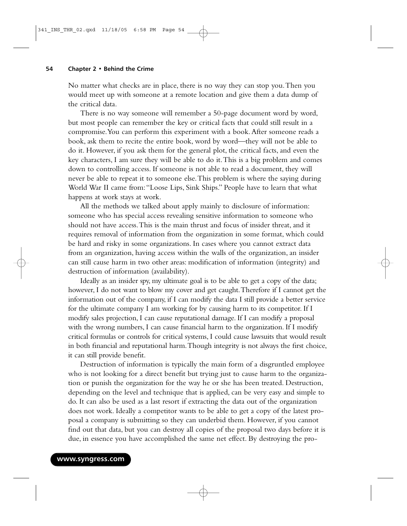No matter what checks are in place, there is no way they can stop you.Then you would meet up with someone at a remote location and give them a data dump of the critical data.

There is no way someone will remember a 50-page document word by word, but most people can remember the key or critical facts that could still result in a compromise.You can perform this experiment with a book.After someone reads a book, ask them to recite the entire book, word by word—they will not be able to do it. However, if you ask them for the general plot, the critical facts, and even the key characters, I am sure they will be able to do it.This is a big problem and comes down to controlling access. If someone is not able to read a document, they will never be able to repeat it to someone else.This problem is where the saying during World War II came from:"Loose Lips, Sink Ships." People have to learn that what happens at work stays at work.

All the methods we talked about apply mainly to disclosure of information: someone who has special access revealing sensitive information to someone who should not have access.This is the main thrust and focus of insider threat, and it requires removal of information from the organization in some format, which could be hard and risky in some organizations. In cases where you cannot extract data from an organization, having access within the walls of the organization, an insider can still cause harm in two other areas: modification of information (integrity) and destruction of information (availability).

Ideally as an insider spy, my ultimate goal is to be able to get a copy of the data; however, I do not want to blow my cover and get caught.Therefore if I cannot get the information out of the company, if I can modify the data I still provide a better service for the ultimate company I am working for by causing harm to its competitor. If I modify sales projection, I can cause reputational damage. If I can modify a proposal with the wrong numbers, I can cause financial harm to the organization. If I modify critical formulas or controls for critical systems, I could cause lawsuits that would result in both financial and reputational harm.Though integrity is not always the first choice, it can still provide benefit.

Destruction of information is typically the main form of a disgruntled employee who is not looking for a direct benefit but trying just to cause harm to the organization or punish the organization for the way he or she has been treated. Destruction, depending on the level and technique that is applied, can be very easy and simple to do. It can also be used as a last resort if extracting the data out of the organization does not work. Ideally a competitor wants to be able to get a copy of the latest proposal a company is submitting so they can underbid them. However, if you cannot find out that data, but you can destroy all copies of the proposal two days before it is due, in essence you have accomplished the same net effect. By destroying the pro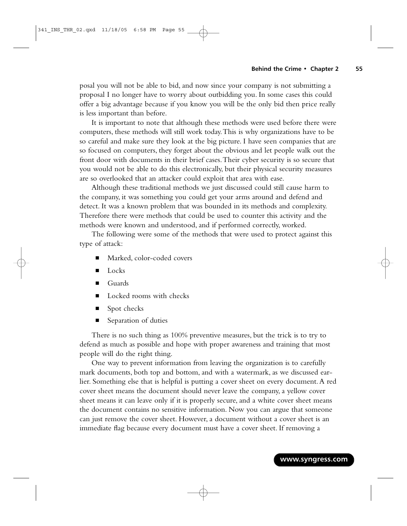posal you will not be able to bid, and now since your company is not submitting a proposal I no longer have to worry about outbidding you. In some cases this could offer a big advantage because if you know you will be the only bid then price really is less important than before.

It is important to note that although these methods were used before there were computers, these methods will still work today.This is why organizations have to be so careful and make sure they look at the big picture. I have seen companies that are so focused on computers, they forget about the obvious and let people walk out the front door with documents in their brief cases.Their cyber security is so secure that you would not be able to do this electronically, but their physical security measures are so overlooked that an attacker could exploit that area with ease.

Although these traditional methods we just discussed could still cause harm to the company, it was something you could get your arms around and defend and detect. It was a known problem that was bounded in its methods and complexity. Therefore there were methods that could be used to counter this activity and the methods were known and understood, and if performed correctly, worked.

The following were some of the methods that were used to protect against this type of attack:

- Marked, color-coded covers
- Locks
- Guards
- Locked rooms with checks
- Spot checks
- Separation of duties

There is no such thing as 100% preventive measures, but the trick is to try to defend as much as possible and hope with proper awareness and training that most people will do the right thing.

One way to prevent information from leaving the organization is to carefully mark documents, both top and bottom, and with a watermark, as we discussed earlier. Something else that is helpful is putting a cover sheet on every document.A red cover sheet means the document should never leave the company, a yellow cover sheet means it can leave only if it is properly secure, and a white cover sheet means the document contains no sensitive information. Now you can argue that someone can just remove the cover sheet. However, a document without a cover sheet is an immediate flag because every document must have a cover sheet. If removing a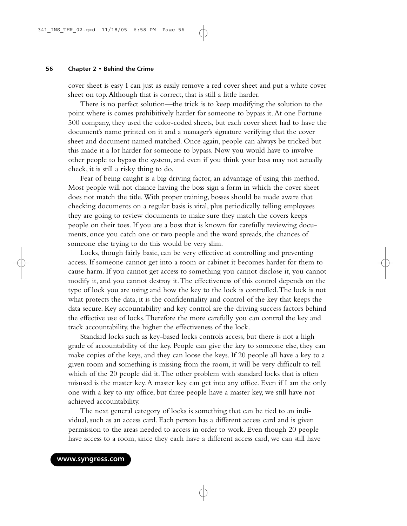cover sheet is easy I can just as easily remove a red cover sheet and put a white cover sheet on top.Although that is correct, that is still a little harder.

There is no perfect solution—the trick is to keep modifying the solution to the point where is comes prohibitively harder for someone to bypass it.At one Fortune 500 company, they used the color-coded sheets, but each cover sheet had to have the document's name printed on it and a manager's signature verifying that the cover sheet and document named matched. Once again, people can always be tricked but this made it a lot harder for someone to bypass. Now you would have to involve other people to bypass the system, and even if you think your boss may not actually check, it is still a risky thing to do.

Fear of being caught is a big driving factor, an advantage of using this method. Most people will not chance having the boss sign a form in which the cover sheet does not match the title. With proper training, bosses should be made aware that checking documents on a regular basis is vital, plus periodically telling employees they are going to review documents to make sure they match the covers keeps people on their toes. If you are a boss that is known for carefully reviewing documents, once you catch one or two people and the word spreads, the chances of someone else trying to do this would be very slim.

Locks, though fairly basic, can be very effective at controlling and preventing access. If someone cannot get into a room or cabinet it becomes harder for them to cause harm. If you cannot get access to something you cannot disclose it, you cannot modify it, and you cannot destroy it.The effectiveness of this control depends on the type of lock you are using and how the key to the lock is controlled.The lock is not what protects the data, it is the confidentiality and control of the key that keeps the data secure. Key accountability and key control are the driving success factors behind the effective use of locks.Therefore the more carefully you can control the key and track accountability, the higher the effectiveness of the lock.

Standard locks such as key-based locks controls access, but there is not a high grade of accountability of the key. People can give the key to someone else, they can make copies of the keys, and they can loose the keys. If 20 people all have a key to a given room and something is missing from the room, it will be very difficult to tell which of the 20 people did it. The other problem with standard locks that is often misused is the master key.A master key can get into any office. Even if I am the only one with a key to my office, but three people have a master key, we still have not achieved accountability.

The next general category of locks is something that can be tied to an individual, such as an access card. Each person has a different access card and is given permission to the areas needed to access in order to work. Even though 20 people have access to a room, since they each have a different access card, we can still have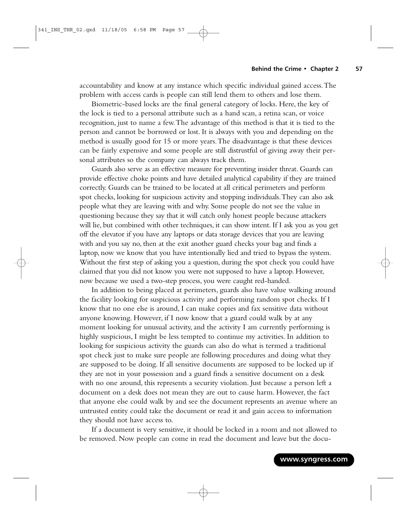accountability and know at any instance which specific individual gained access.The problem with access cards is people can still lend them to others and lose them.

Biometric-based locks are the final general category of locks. Here, the key of the lock is tied to a personal attribute such as a hand scan, a retina scan, or voice recognition, just to name a few.The advantage of this method is that it is tied to the person and cannot be borrowed or lost. It is always with you and depending on the method is usually good for 15 or more years.The disadvantage is that these devices can be fairly expensive and some people are still distrustful of giving away their personal attributes so the company can always track them.

Guards also serve as an effective measure for preventing insider threat. Guards can provide effective choke points and have detailed analytical capability if they are trained correctly. Guards can be trained to be located at all critical perimeters and perform spot checks, looking for suspicious activity and stopping individuals.They can also ask people what they are leaving with and why. Some people do not see the value in questioning because they say that it will catch only honest people because attackers will lie, but combined with other techniques, it can show intent. If I ask you as you get off the elevator if you have any laptops or data storage devices that you are leaving with and you say no, then at the exit another guard checks your bag and finds a laptop, now we know that you have intentionally lied and tried to bypass the system. Without the first step of asking you a question, during the spot check you could have claimed that you did not know you were not supposed to have a laptop. However, now because we used a two-step process, you were caught red-handed.

In addition to being placed at perimeters, guards also have value walking around the facility looking for suspicious activity and performing random spot checks. If I know that no one else is around, I can make copies and fax sensitive data without anyone knowing. However, if I now know that a guard could walk by at any moment looking for unusual activity, and the activity I am currently performing is highly suspicious, I might be less tempted to continue my activities. In addition to looking for suspicious activity the guards can also do what is termed a traditional spot check just to make sure people are following procedures and doing what they are supposed to be doing. If all sensitive documents are supposed to be locked up if they are not in your possession and a guard finds a sensitive document on a desk with no one around, this represents a security violation. Just because a person left a document on a desk does not mean they are out to cause harm. However, the fact that anyone else could walk by and see the document represents an avenue where an untrusted entity could take the document or read it and gain access to information they should not have access to.

If a document is very sensitive, it should be locked in a room and not allowed to be removed. Now people can come in read the document and leave but the docu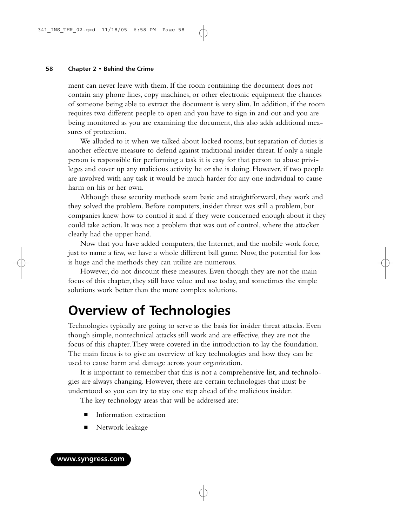ment can never leave with them. If the room containing the document does not contain any phone lines, copy machines, or other electronic equipment the chances of someone being able to extract the document is very slim. In addition, if the room requires two different people to open and you have to sign in and out and you are being monitored as you are examining the document, this also adds additional measures of protection.

We alluded to it when we talked about locked rooms, but separation of duties is another effective measure to defend against traditional insider threat. If only a single person is responsible for performing a task it is easy for that person to abuse privileges and cover up any malicious activity he or she is doing. However, if two people are involved with any task it would be much harder for any one individual to cause harm on his or her own.

Although these security methods seem basic and straightforward, they work and they solved the problem. Before computers, insider threat was still a problem, but companies knew how to control it and if they were concerned enough about it they could take action. It was not a problem that was out of control, where the attacker clearly had the upper hand.

Now that you have added computers, the Internet, and the mobile work force, just to name a few, we have a whole different ball game. Now, the potential for loss is huge and the methods they can utilize are numerous.

However, do not discount these measures. Even though they are not the main focus of this chapter, they still have value and use today, and sometimes the simple solutions work better than the more complex solutions.

# **Overview of Technologies**

Technologies typically are going to serve as the basis for insider threat attacks. Even though simple, nontechnical attacks still work and are effective, they are not the focus of this chapter.They were covered in the introduction to lay the foundation. The main focus is to give an overview of key technologies and how they can be used to cause harm and damage across your organization.

It is important to remember that this is not a comprehensive list, and technologies are always changing. However, there are certain technologies that must be understood so you can try to stay one step ahead of the malicious insider.

The key technology areas that will be addressed are:

- Information extraction
- Network leakage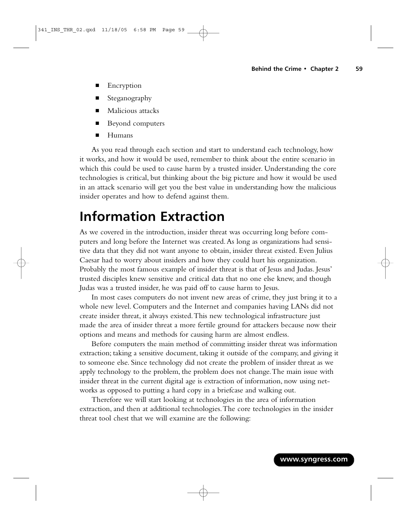- Encryption
- **Steganography**
- Malicious attacks
- Beyond computers
- Humans

As you read through each section and start to understand each technology, how it works, and how it would be used, remember to think about the entire scenario in which this could be used to cause harm by a trusted insider. Understanding the core technologies is critical, but thinking about the big picture and how it would be used in an attack scenario will get you the best value in understanding how the malicious insider operates and how to defend against them.

## **Information Extraction**

As we covered in the introduction, insider threat was occurring long before computers and long before the Internet was created.As long as organizations had sensitive data that they did not want anyone to obtain, insider threat existed. Even Julius Caesar had to worry about insiders and how they could hurt his organization. Probably the most famous example of insider threat is that of Jesus and Judas. Jesus' trusted disciples knew sensitive and critical data that no one else knew, and though Judas was a trusted insider, he was paid off to cause harm to Jesus.

In most cases computers do not invent new areas of crime, they just bring it to a whole new level. Computers and the Internet and companies having LANs did not create insider threat, it always existed.This new technological infrastructure just made the area of insider threat a more fertile ground for attackers because now their options and means and methods for causing harm are almost endless.

Before computers the main method of committing insider threat was information extraction; taking a sensitive document, taking it outside of the company, and giving it to someone else. Since technology did not create the problem of insider threat as we apply technology to the problem, the problem does not change.The main issue with insider threat in the current digital age is extraction of information, now using networks as opposed to putting a hard copy in a briefcase and walking out.

Therefore we will start looking at technologies in the area of information extraction, and then at additional technologies.The core technologies in the insider threat tool chest that we will examine are the following: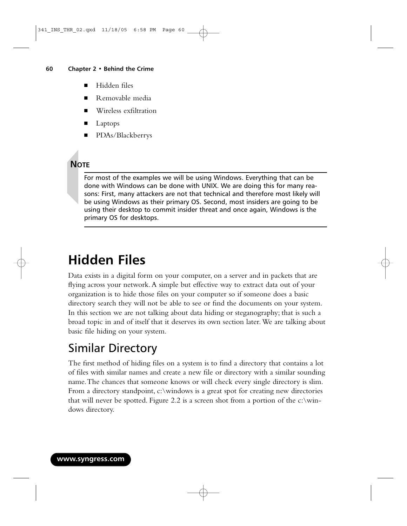- Hidden files
- Removable media
- Wireless exfiltration
- Laptops
- PDAs/Blackberrys

#### **NOTE**

For most of the examples we will be using Windows. Everything that can be done with Windows can be done with UNIX. We are doing this for many reasons: First, many attackers are not that technical and therefore most likely will be using Windows as their primary OS. Second, most insiders are going to be using their desktop to commit insider threat and once again, Windows is the primary OS for desktops.

# **Hidden Files**

Data exists in a digital form on your computer, on a server and in packets that are flying across your network.A simple but effective way to extract data out of your organization is to hide those files on your computer so if someone does a basic directory search they will not be able to see or find the documents on your system. In this section we are not talking about data hiding or steganography; that is such a broad topic in and of itself that it deserves its own section later. We are talking about basic file hiding on your system.

### Similar Directory

The first method of hiding files on a system is to find a directory that contains a lot of files with similar names and create a new file or directory with a similar sounding name.The chances that someone knows or will check every single directory is slim. From a directory standpoint, c:\windows is a great spot for creating new directories that will never be spotted. Figure 2.2 is a screen shot from a portion of the c:\windows directory.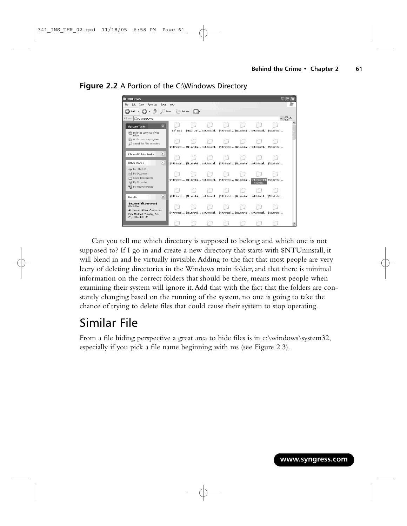| $\equiv$ WINDOWS                                                                                                              |            |  |  |                                                                                                                |              |                  |
|-------------------------------------------------------------------------------------------------------------------------------|------------|--|--|----------------------------------------------------------------------------------------------------------------|--------------|------------------|
| Edit View Favorites<br>Tools<br>File I                                                                                        | Help       |  |  |                                                                                                                |              |                  |
| $\Box \cdot \Box$ $\Box$ Search $\Box$ Folders $\Box$<br>Back -                                                               |            |  |  |                                                                                                                |              |                  |
| Address C C:\WINDOWS                                                                                                          |            |  |  |                                                                                                                | $\checkmark$ | $\Rightarrow$ Go |
| $\hat{\mathbf{x}}$<br><b>System Tasks</b>                                                                                     |            |  |  |                                                                                                                |              |                  |
| <b>mit</b> Hide the contents of this<br><b>Folder</b>                                                                         | \$hf mig\$ |  |  | \$M5I31Unin \$NtUninstall \$NtUninstall \$NtUninstall \$NtUninstall \$NtUninstall                              |              |                  |
| 图 Add or remove programs<br>Search for files or folders                                                                       |            |  |  |                                                                                                                |              |                  |
|                                                                                                                               |            |  |  | \$NtUninstal \$NtUninstal \$NtUninstall \$NtUninstall \$NtUninstall \$NtUninstall \$NtUninstall                |              |                  |
| ¥<br><b>File and Folder Tasks</b>                                                                                             |            |  |  |                                                                                                                |              |                  |
| 会<br>Other Places                                                                                                             |            |  |  | \$NtUninstal \$NtUninstal \$NtUninstall \$NtUninstall \$NtUninstall \$NtUninstall \$NtUninstall                |              |                  |
| Cap Local Disk (C:)<br><b>B</b> My Documents<br>Shared Documents<br>My Computer                                               |            |  |  | \$NtUninstall \$NtUninstall \$NtUninstall \$NtUninstall \$NtUninstall \$NtUninstalK8 \$NtUninstall<br>893086\$ |              |                  |
| My Network Places                                                                                                             |            |  |  |                                                                                                                |              |                  |
| 会<br>Dehails                                                                                                                  |            |  |  | \$NtUninstal \$NtUninstal \$NtUninstall \$NtUninstall \$NtUninstall \$NtUninstall \$NtUninstall                |              |                  |
| \$NtUninstallKB893086\$<br>File Folder<br>Attributes: Hidden, Compressed<br>Date Modified: Tuesday, July<br>26, 2005, 3:33 PM |            |  |  | \$NtUninstal \$NtUninstal \$NtUninstall \$NtUninstall \$NtUninstall \$NtUninstall \$NtUninstall                |              |                  |
|                                                                                                                               |            |  |  |                                                                                                                |              |                  |

**Figure 2.2** A Portion of the C:\Windows Directory

Can you tell me which directory is supposed to belong and which one is not supposed to? If I go in and create a new directory that starts with \$NTUninstall, it will blend in and be virtually invisible.Adding to the fact that most people are very leery of deleting directories in the Windows main folder, and that there is minimal information on the correct folders that should be there, means most people when examining their system will ignore it.Add that with the fact that the folders are constantly changing based on the running of the system, no one is going to take the chance of trying to delete files that could cause their system to stop operating.

### Similar File

From a file hiding perspective a great area to hide files is in c:\windows\system32, especially if you pick a file name beginning with ms (see Figure 2.3).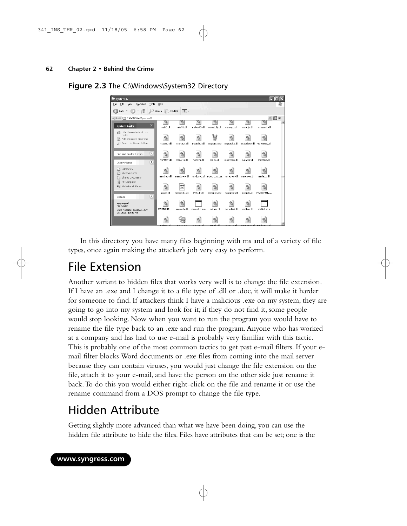**Figure 2.3** The C:\Windows\System32 Directory



In this directory you have many files beginning with ms and of a variety of file types, once again making the attacker's job very easy to perform.

### File Extension

Another variant to hidden files that works very well is to change the file extension. If I have an .exe and I change it to a file type of .dll or .doc, it will make it harder for someone to find. If attackers think I have a malicious .exe on my system, they are going to go into my system and look for it; if they do not find it, some people would stop looking. Now when you want to run the program you would have to rename the file type back to an .exe and run the program.Anyone who has worked at a company and has had to use e-mail is probably very familiar with this tactic. This is probably one of the most common tactics to get past e-mail filters. If your email filter blocks Word documents or .exe files from coming into the mail server because they can contain viruses, you would just change the file extension on the file, attach it to your e-mail, and have the person on the other side just rename it back.To do this you would either right-click on the file and rename it or use the rename command from a DOS prompt to change the file type.

# Hidden Attribute

Getting slightly more advanced than what we have been doing, you can use the hidden file attribute to hide the files. Files have attributes that can be set; one is the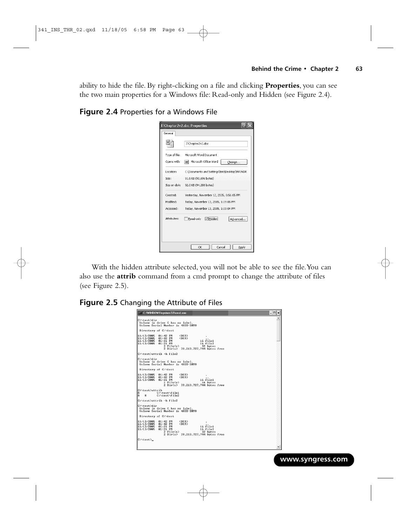ability to hide the file. By right-clicking on a file and clicking **Properties**, you can see the two main properties for a Windows file: Read-only and Hidden (see Figure 2.4).

|  |  |  |  | Figure 2.4 Properties for a Windows File |  |
|--|--|--|--|------------------------------------------|--|
|--|--|--|--|------------------------------------------|--|

|               | ITChapter 2v2. doc Properties                  |
|---------------|------------------------------------------------|
| General       |                                                |
|               | ITChapter2v2.doc                               |
| Type of file: | Microsoft Word Document                        |
| Opens with:   | Microsoft Office Word<br><b>M</b><br>Change    |
| Location:     | C:\Documents and Settings\Eric\Desktop\MAINDR' |
| Size:         | 91.5 KB (93,696 bytes)                         |
| Size on disk: | 92.0 KB (94,208 bytes)                         |
| Created:      | Yesterday, November 12, 2005, 8:56:05 PM       |
| Modified:     | Today, November 13, 2005, 1:19:05 PM           |
| Accessed:     | Today, November 13, 2005, 1:19:04 PM           |
| Attributes:   | IV Hidden<br>Read-only<br>Advanced             |
|               |                                                |
|               | Cancel<br>OK<br>Apply                          |

With the hidden attribute selected, you will not be able to see the file.You can also use the **attrib** command from a cmd prompt to change the attribute of files (see Figure 2.5).

**Figure 2.5** Changing the Attribute of Files

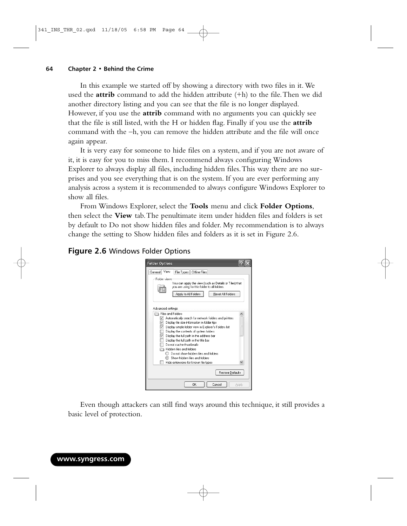In this example we started off by showing a directory with two files in it. We used the **attrib** command to add the hidden attribute (+h) to the file.Then we did another directory listing and you can see that the file is no longer displayed. However, if you use the **attrib** command with no arguments you can quickly see that the file is still listed, with the H or hidden flag. Finally if you use the **attrib** command with the –h, you can remove the hidden attribute and the file will once again appear.

It is very easy for someone to hide files on a system, and if you are not aware of it, it is easy for you to miss them. I recommend always configuring Windows Explorer to always display all files, including hidden files.This way there are no surprises and you see everything that is on the system. If you are ever performing any analysis across a system it is recommended to always configure Windows Explorer to show all files.

From Windows Explorer, select the **Tools** menu and click **Folder Options**, then select the **View** tab.The penultimate item under hidden files and folders is set by default to Do not show hidden files and folder. My recommendation is to always change the setting to Show hidden files and folders as it is set in Figure 2.6.

| <b>Folder Options</b>                                                                                                                                                                                                                                                                                                                                                                                                                                                                             |       |
|---------------------------------------------------------------------------------------------------------------------------------------------------------------------------------------------------------------------------------------------------------------------------------------------------------------------------------------------------------------------------------------------------------------------------------------------------------------------------------------------------|-------|
| View<br>Offline Files<br>File Types<br>General                                                                                                                                                                                                                                                                                                                                                                                                                                                    |       |
| Folder views<br>You can apply the view (such as Details or Tiles) that<br>you are using for this folder to all folders.<br>Apply to All Folders<br><b>Reset All Folders</b>                                                                                                                                                                                                                                                                                                                       |       |
| Advanced settings:                                                                                                                                                                                                                                                                                                                                                                                                                                                                                |       |
| Files and Folders<br>Automatically search for network folders and printers<br>Display file size information in folder tips<br>Display simple folder view in Explorer's Folders list<br>Display the contents of system folders<br>Display the full path in the address bar<br>Display the full path in the title bar<br>Do not cache thumbnails<br>$\ln$ Hidden files and folders<br>Do not show hidden files and folders<br>Show hidden files and folders<br>Hide extensions for known file types | ŧ     |
| Restore Defaults                                                                                                                                                                                                                                                                                                                                                                                                                                                                                  |       |
| ΠK<br>Cancel                                                                                                                                                                                                                                                                                                                                                                                                                                                                                      | Apply |

#### **Figure 2.6** Windows Folder Options

Even though attackers can still find ways around this technique, it still provides a basic level of protection.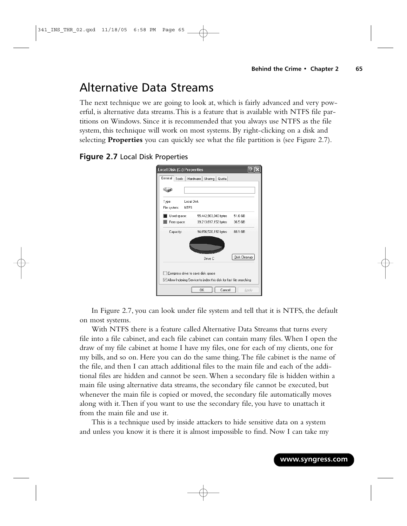### Alternative Data Streams

The next technique we are going to look at, which is fairly advanced and very powerful, is alternative data streams.This is a feature that is available with NTFS file partitions on Windows. Since it is recommended that you always use NTFS as the file system, this technique will work on most systems. By right-clicking on a disk and selecting **Properties** you can quickly see what the file partition is (see Figure 2.7).

| <b>Local Disk (C:) Properties</b><br>General | Tools   Hardware   Sharing<br><b>Quota</b>                        |              |
|----------------------------------------------|-------------------------------------------------------------------|--------------|
|                                              |                                                                   |              |
| Local Disk<br>Type:                          |                                                                   |              |
| <b>NTFS</b><br>File system:                  |                                                                   |              |
| Used space:                                  | 55,442,903,040 bytes                                              | 51.6 GB      |
| Free space:                                  | 39,213,617,152 bytes                                              | 36.5 GB      |
| Capacity:                                    | 94,656,520,192 bytes 88.1 GB                                      |              |
|                                              | Drive C                                                           | Disk Cleanup |
| Compress drive to save disk space            | Allow Indexing Service to index this disk for fast file searching |              |
|                                              | Cancel<br>OK                                                      | Apply        |

#### **Figure 2.7** Local Disk Properties

In Figure 2.7, you can look under file system and tell that it is NTFS, the default on most systems.

With NTFS there is a feature called Alternative Data Streams that turns every file into a file cabinet, and each file cabinet can contain many files. When I open the draw of my file cabinet at home I have my files, one for each of my clients, one for my bills, and so on. Here you can do the same thing.The file cabinet is the name of the file, and then I can attach additional files to the main file and each of the additional files are hidden and cannot be seen. When a secondary file is hidden within a main file using alternative data streams, the secondary file cannot be executed, but whenever the main file is copied or moved, the secondary file automatically moves along with it.Then if you want to use the secondary file, you have to unattach it from the main file and use it.

This is a technique used by inside attackers to hide sensitive data on a system and unless you know it is there it is almost impossible to find. Now I can take my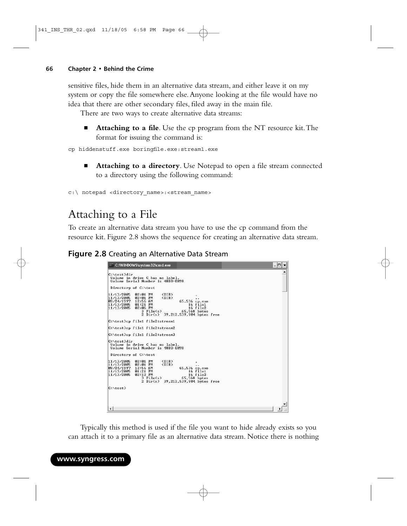sensitive files, hide them in an alternative data stream, and either leave it on my system or copy the file somewhere else.Anyone looking at the file would have no idea that there are other secondary files, filed away in the main file.

There are two ways to create alternative data streams:

**Attaching to a file**. Use the cp program from the NT resource kit. The format for issuing the command is:

```
cp hiddenstuff.exe boringfile.exe:stream1.exe
```
**Attaching to a directory**. Use Notepad to open a file stream connected to a directory using the following command:

```
c:\ notepad <directory_name>:<stream_name>
```
#### Attaching to a File

To create an alternative data stream you have to use the cp command from the resource kit. Figure 2.8 shows the sequence for creating an alternative data stream.

#### **Figure 2.8** Creating an Alternative Data Stream

```
|.\|ox C:\WINDOWS\system32\cmd.exe
  C:\test>dir<br>|Uolume in drive C has no label.<br>|Uolume Serial Number is 48DB-E098
    Directory of C:\test
11/13/2005 02:01 PM (DIR)<br>
11/13/2005 02:01 PM (DIR)<br>
11/13/2005 02:01 PM (DIR)<br>
11/13/2005 02:01 PM 65.536 cp.exe<br>
11/13/2005 02:21 PM 16 file1<br>
11/13/2005 02:01 PM 65.566 bytes<br>
2 Dir(s) 39,212,539,904 bytes free
 C:\test>cp file1 file2:stream1
 C:\test>cp file1 file2:stream2
 C:\test>cp file1 file2:stream3
 C:\test>dir<br>Uolume in drive C has no label.<br>Uolume Serial Number is 48DB-E098
   Directory of C:\test
[1/13/2005 \t 02:01 \t PM \t 01R) \t 1/13/2005 \t 02:01 \t PM \t 05,536 \t 09.24/1997 \t 12:56 \t AH \t 16,536 \t 09.24/197 \t 16,536 \t 012 \t 191 \t 16,536 \t 11c1 \t 2 \t 2 \t 181 \t 13/2005 \t 02:12 \t PH \t 16,5168 \t bytes \t 2 \t 12r \t 3 \t 15,568 \t bytes \t freeC:\test>
   \left| \cdot \right|
```
Typically this method is used if the file you want to hide already exists so you can attach it to a primary file as an alternative data stream. Notice there is nothing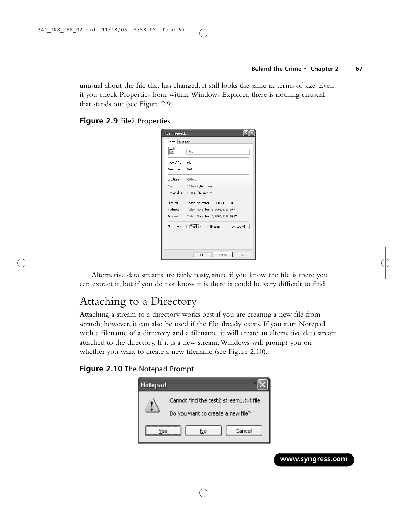unusual about the file that has changed. It still looks the same in terms of size. Even if you check Properties from within Windows Explorer, there is nothing unusual that stands out (see Figure 2.9).

| file 2 Properties  |                                      |
|--------------------|--------------------------------------|
| General<br>Summary |                                      |
| asa                | file2                                |
| Type of file:      | File                                 |
| Description:       | file2                                |
| Location:          | C:\test                              |
| Size:              | 16 bytes (16 bytes)                  |
| Size on disk:      | 4.00 KB (4,096 bytes)                |
| Created:           | Today, November 13, 2005, 1:21:08 PM |
| Modified:          | Today, November 13, 2005, 2:12:10 PM |
| Accessed:          | Today, November 13, 2005, 2:12:10 PM |
| Attributes:        | Read-only<br>Hidden<br>Advanced      |
|                    |                                      |
|                    | Cancel<br>OK<br>Apply                |

#### **Figure 2.9** File2 Properties

Alternative data streams are fairly nasty, since if you know the file is there you can extract it, but if you do not know it is there is could be very difficult to find.

### Attaching to a Directory

Attaching a stream to a directory works best if you are creating a new file from scratch; however, it can also be used if the file already exists. If you start Notepad with a filename of a directory and a filename, it will create an alternative data stream attached to the directory. If it is a new stream, Windows will prompt you on whether you want to create a new filename (see Figure 2.10).

#### **Figure 2.10** The Notepad Prompt

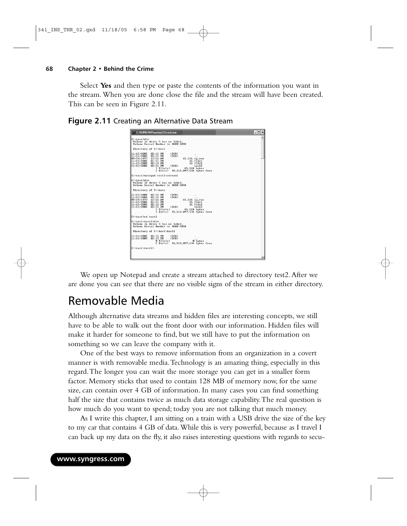Select **Yes** and then type or paste the contents of the information you want in the stream. When you are done close the file and the stream will have been created. This can be seen in Figure 2.11.



**Figure 2.11** Creating an Alternative Data Stream

We open up Notepad and create a stream attached to directory test2.After we are done you can see that there are no visible signs of the stream in either directory.

### Removable Media

Although alternative data streams and hidden files are interesting concepts, we still have to be able to walk out the front door with our information. Hidden files will make it harder for someone to find, but we still have to put the information on something so we can leave the company with it.

One of the best ways to remove information from an organization in a covert manner is with removable media.Technology is an amazing thing, especially in this regard.The longer you can wait the more storage you can get in a smaller form factor. Memory sticks that used to contain 128 MB of memory now, for the same size, can contain over 4 GB of information. In many cases you can find something half the size that contains twice as much data storage capability. The real question is how much do you want to spend; today you are not talking that much money.

As I write this chapter, I am sitting on a train with a USB drive the size of the key to my car that contains 4 GB of data.While this is very powerful, because as I travel I can back up my data on the fly, it also raises interesting questions with regards to secu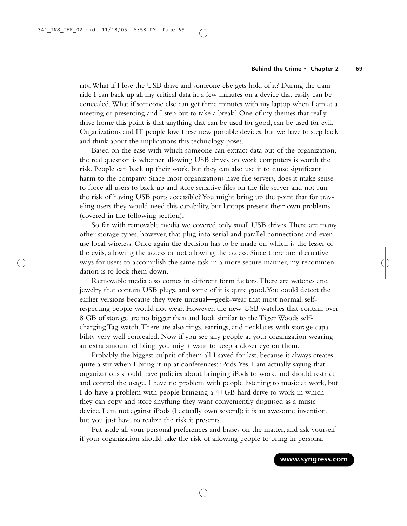rity.What if I lose the USB drive and someone else gets hold of it? During the train ride I can back up all my critical data in a few minutes on a device that easily can be concealed.What if someone else can get three minutes with my laptop when I am at a meeting or presenting and I step out to take a break? One of my themes that really drive home this point is that anything that can be used for good, can be used for evil. Organizations and IT people love these new portable devices, but we have to step back and think about the implications this technology poses.

Based on the ease with which someone can extract data out of the organization, the real question is whether allowing USB drives on work computers is worth the risk. People can back up their work, but they can also use it to cause significant harm to the company. Since most organizations have file servers, does it make sense to force all users to back up and store sensitive files on the file server and not run the risk of having USB ports accessible? You might bring up the point that for traveling users they would need this capability, but laptops present their own problems (covered in the following section).

So far with removable media we covered only small USB drives.There are many other storage types, however, that plug into serial and parallel connections and even use local wireless. Once again the decision has to be made on which is the lesser of the evils, allowing the access or not allowing the access. Since there are alternative ways for users to accomplish the same task in a more secure manner, my recommendation is to lock them down.

Removable media also comes in different form factors.There are watches and jewelry that contain USB plugs, and some of it is quite good.You could detect the earlier versions because they were unusual—geek-wear that most normal, selfrespecting people would not wear. However, the new USB watches that contain over 8 GB of storage are no bigger than and look similar to the Tiger Woods selfcharging Tag watch.There are also rings, earrings, and necklaces with storage capability very well concealed. Now if you see any people at your organization wearing an extra amount of bling, you might want to keep a closer eye on them.

Probably the biggest culprit of them all I saved for last, because it always creates quite a stir when I bring it up at conferences: iPods.Yes, I am actually saying that organizations should have policies about bringing iPods to work, and should restrict and control the usage. I have no problem with people listening to music at work, but I do have a problem with people bringing a 4+GB hard drive to work in which they can copy and store anything they want conveniently disguised as a music device. I am not against iPods (I actually own several); it is an awesome invention, but you just have to realize the risk it presents.

Put aside all your personal preferences and biases on the matter, and ask yourself if your organization should take the risk of allowing people to bring in personal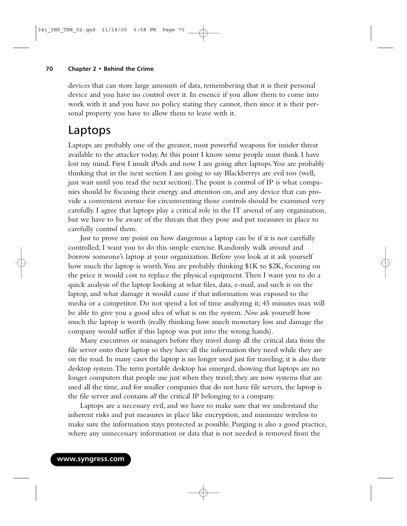devices that can store large amounts of data, remembering that it is their personal device and you have no control over it. In essence if you allow them to come into work with it and you have no policy stating they cannot, then since it is their personal property you have to allow them to leave with it.

### Laptops

Laptops are probably one of the greatest, most powerful weapons for insider threat available to the attacker today.At this point I know some people must think I have lost my mind. First I insult iPods and now I am going after laptops.You are probably thinking that in the next section I am going to say Blackberrys are evil too (well, just wait until you read the next section).The point is control of IP is what companies should be focusing their energy and attention on, and any device that can provide a convenient avenue for circumventing those controls should be examined very carefully. I agree that laptops play a critical role in the IT arsenal of any organization, but we have to be aware of the threats that they pose and put measures in place to carefully control them.

Just to prove my point on how dangerous a laptop can be if it is not carefully controlled, I want you to do this simple exercise. Randomly walk around and borrow someone's laptop at your organization. Before you look at it ask yourself how much the laptop is worth.You are probably thinking \$1K to \$2K, focusing on the price it would cost to replace the physical equipment.Then I want you to do a quick analysis of the laptop looking at what files, data, e-mail, and such is on the laptop, and what damage it would cause if that information was exposed to the media or a competitor. Do not spend a lot of time analyzing it; 45 minutes max will be able to give you a good idea of what is on the system. *Now* ask yourself how much the laptop is worth (really thinking how much monetary loss and damage the company would suffer if this laptop was put into the wrong hands).

Many executives or managers before they travel dump all the critical data from the file server onto their laptop so they have all the information they need while they are on the road. In many cases the laptop is no longer used just for traveling, it is also their desktop system.The term portable desktop has emerged, showing that laptops are no longer computers that people use just when they travel; they are now systems that are used all the time, and for smaller companies that do not have file servers, the laptop is the file server and contains *all* the critical IP belonging to a company.

Laptops are a necessary evil, and we have to make sure that we understand the inherent risks and put measures in place like encryption, and minimize wireless to make sure the information stays protected as possible. Purging is also a good practice, where any unnecessary information or data that is not needed is removed from the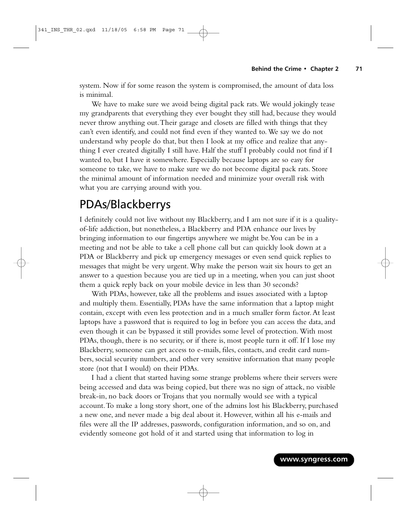system. Now if for some reason the system is compromised, the amount of data loss is minimal.

We have to make sure we avoid being digital pack rats. We would jokingly tease my grandparents that everything they ever bought they still had, because they would never throw anything out.Their garage and closets are filled with things that they can't even identify, and could not find even if they wanted to. We say we do not understand why people do that, but then I look at my office and realize that anything I ever created digitally I still have. Half the stuff I probably could not find if I wanted to, but I have it somewhere. Especially because laptops are so easy for someone to take, we have to make sure we do not become digital pack rats. Store the minimal amount of information needed and minimize your overall risk with what you are carrying around with you.

### PDAs/Blackberrys

I definitely could not live without my Blackberry, and I am not sure if it is a qualityof-life addiction, but nonetheless, a Blackberry and PDA enhance our lives by bringing information to our fingertips anywhere we might be.You can be in a meeting and not be able to take a cell phone call but can quickly look down at a PDA or Blackberry and pick up emergency messages or even send quick replies to messages that might be very urgent. Why make the person wait six hours to get an answer to a question because you are tied up in a meeting, when you can just shoot them a quick reply back on your mobile device in less than 30 seconds?

With PDAs, however, take all the problems and issues associated with a laptop and multiply them. Essentially, PDAs have the same information that a laptop might contain, except with even less protection and in a much smaller form factor.At least laptops have a password that is required to log in before you can access the data, and even though it can be bypassed it still provides some level of protection. With most PDAs, though, there is no security, or if there is, most people turn it off. If I lose my Blackberry, someone can get access to e-mails, files, contacts, and credit card numbers, social security numbers, and other very sensitive information that many people store (not that I would) on their PDAs.

I had a client that started having some strange problems where their servers were being accessed and data was being copied, but there was no sign of attack, no visible break-in, no back doors or Trojans that you normally would see with a typical account.To make a long story short, one of the admins lost his Blackberry, purchased a new one, and never made a big deal about it. However, within all his e-mails and files were all the IP addresses, passwords, configuration information, and so on, and evidently someone got hold of it and started using that information to log in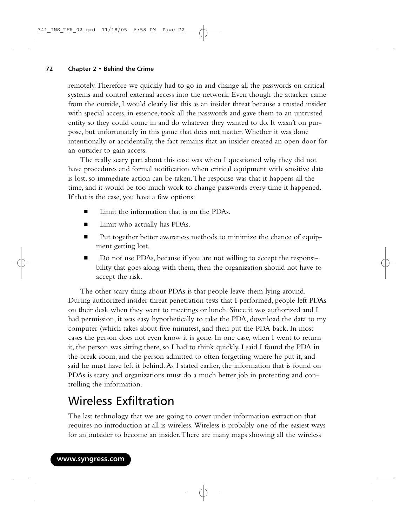remotely.Therefore we quickly had to go in and change all the passwords on critical systems and control external access into the network. Even though the attacker came from the outside, I would clearly list this as an insider threat because a trusted insider with special access, in essence, took all the passwords and gave them to an untrusted entity so they could come in and do whatever they wanted to do. It wasn't on purpose, but unfortunately in this game that does not matter. Whether it was done intentionally or accidentally, the fact remains that an insider created an open door for an outsider to gain access.

The really scary part about this case was when I questioned why they did not have procedures and formal notification when critical equipment with sensitive data is lost, so immediate action can be taken.The response was that it happens all the time, and it would be too much work to change passwords every time it happened. If that is the case, you have a few options:

- Limit the information that is on the PDAs.
- Limit who actually has PDAs.
- Put together better awareness methods to minimize the chance of equipment getting lost.
- Do not use PDAs, because if you are not willing to accept the responsibility that goes along with them, then the organization should not have to accept the risk.

The other scary thing about PDAs is that people leave them lying around. During authorized insider threat penetration tests that I performed, people left PDAs on their desk when they went to meetings or lunch. Since it was authorized and I had permission, it was easy hypothetically to take the PDA, download the data to my computer (which takes about five minutes), and then put the PDA back. In most cases the person does not even know it is gone. In one case, when I went to return it, the person was sitting there, so I had to think quickly. I said I found the PDA in the break room, and the person admitted to often forgetting where he put it, and said he must have left it behind.As I stated earlier, the information that is found on PDAs is scary and organizations must do a much better job in protecting and controlling the information.

### Wireless Exfiltration

The last technology that we are going to cover under information extraction that requires no introduction at all is wireless. Wireless is probably one of the easiest ways for an outsider to become an insider.There are many maps showing all the wireless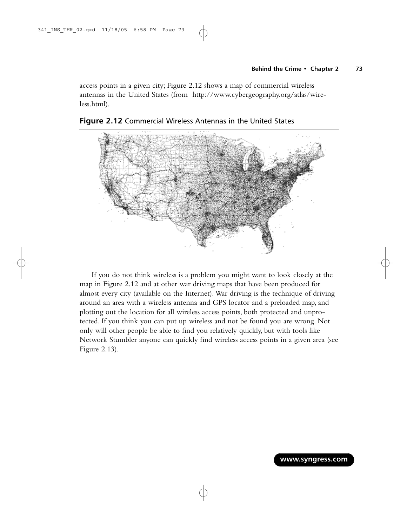access points in a given city; Figure 2.12 shows a map of commercial wireless antennas in the United States (from http://www.cybergeography.org/atlas/wireless.html).



**Figure 2.12** Commercial Wireless Antennas in the United States

If you do not think wireless is a problem you might want to look closely at the map in Figure 2.12 and at other war driving maps that have been produced for almost every city (available on the Internet). War driving is the technique of driving around an area with a wireless antenna and GPS locator and a preloaded map, and plotting out the location for all wireless access points, both protected and unprotected. If you think you can put up wireless and not be found you are wrong. Not only will other people be able to find you relatively quickly, but with tools like Network Stumbler anyone can quickly find wireless access points in a given area (see Figure 2.13).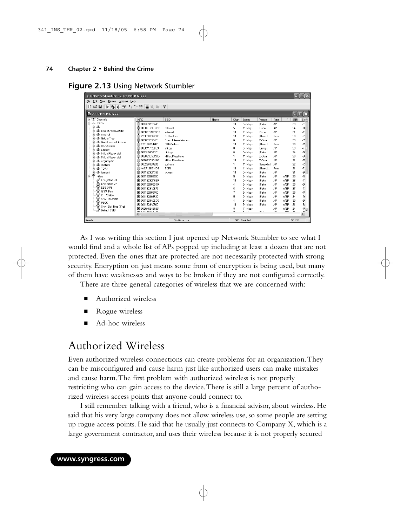|  |  |  |  | Figure 2.13 Using Network Stumbler |
|--|--|--|--|------------------------------------|
|--|--|--|--|------------------------------------|

| / Network Stumbler - 20051113160722                       |                           |                              |      |      |               |              |      |      |          | $  \_    \square    \times$ |
|-----------------------------------------------------------|---------------------------|------------------------------|------|------|---------------|--------------|------|------|----------|-----------------------------|
| Edit<br>View Device Window Help<br>File                   |                           |                              |      |      |               |              |      |      |          |                             |
| ▶ 9 4 6 2 2 : 主 言 3 3  <br>G HI                           |                           | P.                           |      |      |               |              |      |      |          |                             |
|                                                           |                           |                              |      |      |               |              |      |      |          |                             |
| 2 20051113160722                                          |                           |                              |      |      |               |              |      |      | <b>C</b> | $\Box$ $\times$             |
| <sup>(6</sup> <sup>8</sup> ) <sup>2</sup> Channels<br>$+$ | MAC                       | SSID                         | Name | Chan | Speed         | Vendor       | Type |      | SNR      | $Si \wedge$                 |
| di SSIDs                                                  | O 0013192B9740            |                              |      | 11   | 54 Mbps       | (Fake)       | ΔP   |      | 23       | $\cdot 6^\circ$             |
| 凸<br>Ė                                                    | @000DED2ED83C             | external                     |      | 5    | 11 Mbps       | Cisco        | ΔP   |      | 24       | .71                         |
| -di- bmg.ist.nyc-bw1540<br>F.<br>F-db external            | O 000DED4CFBD3            | external                     |      | 11   | 11 Mbps       | Cisco        | ΔP   |      | 21       | $\cdot$ 7                   |
| & GoldenTree                                              | 225E5B0972BE              | GoldenTree                   |      | 11   | 11 Mbps       | (User-d      | Peer |      | 19       | $\cdot$                     |
| -di- Guest Internet Access                                | @006083C5C4E1             | <b>Guest Internet Access</b> |      | ĥ    | 11 Mbps       | Z-Com        | AP   |      | 33       | $\cdot$ 61                  |
| -di-ISUWireless                                           | C231F67144D1              | <b>ISLIWireless</b>          |      | 11   | 11 Mbps       | (User-d      | Peer |      | 20       | $-7!$                       |
| F-4 Linksus                                               | O 000C41A26B39            | linksus                      |      | 6    | 54 Mbps       | Linksus      | ΔP   |      | 23       | $\cdot$ 7                   |
| dir. MilfordPlazaHotel                                    | 20013104D43D1             | Linksys                      |      | 6    | 54 Mbps       | (Fake)       | ΔP   |      | 24       | $-71$                       |
| di MilfordPlazaHotel<br>围                                 | 006083C5CDBD              | MilfordPlazaHotel            |      |      | 11 Mbps       | Z-Com        | ΔP   |      | 20       | .81                         |
| -di- ozgunavdin<br>国                                      | C 0060B3C9D180            | MilfordPlazaHotel            |      | 11   | 11 Mbps       | Z-Com        | ΔP   |      | 21       | $\overline{\partial}$       |
| the surfhere<br>F.                                        | C 00026F038802            | surfhere                     |      | 1    | 11 Mbps       | Senao Inti   | AP   |      | $22^{1}$ | $\cdot$ 7.                  |
| <b>EL TDPJ</b><br>Œ.                                      | AAC7136E14D9              | TDP.I                        |      | 11   | 11 Mbps       | (User-d      | Peer |      | 21       | $-75$                       |
| di tsunami                                                | O 00119290D380            | tsunami                      |      | 11   | 54 Mbps       | (Fake)       | ΔP   |      | 31       | $\cdot$ 61                  |
| <b>T</b> Filters<br>囗                                     | 20 001192B03590           |                              |      | 5    | 54 Mbps       | (Fake)       | ΔP   | WEP  | 20       | $-71$                       |
| Encryption Off<br>A                                       | @ 00119290D6E0            |                              |      | 11   | 54 Mbps       | (Fake)       | AP   | WEP  | 26       | $\cdot 7$                   |
| ê,<br>Encryption On                                       | @ 001192B03D70            |                              |      | 4    | 54 Mbps       | (Fake)       | AP   | WEP  | 25       | $\cdot$ 61                  |
| ESS (AP)                                                  | @ 0011929A0E70            |                              |      | ĥ    | 54 Mbps       | (Fake)       | AP   | WFP  | 27       | $\cdot$ 7.                  |
| <sup>(20)</sup> IBSS (Peer)<br>W<br>CF Pollable           | @nn1192B03F80             |                              |      |      | 54 Mbps       | (Fake)       | AP   | WFP  | 25       | $-7!$                       |
| Ŧ<br>Short Preamble                                       | @ 001192B02F30            |                              |      | 5    | 54 Mbps       | (Fake)       | AP   | WEP  | 24       | $-71$                       |
| $\mathcal{C}^{(0)}$<br>PBCC                               | @0011929A0ED0             |                              |      |      | 54 Mbps       | (Fake)       | ΔP   | WEP  | 30       | $\cdot$ 61                  |
| W Short Slot Time [11g]                                   | 20011929A0F00             |                              |      | 11   | 54 Mbps       | (Fake)       | AP   | WEP  | 21       | $\cdot$ 6:                  |
| P Default SSID                                            | @00204654E5BD             |                              |      | 8    | 11 Mbps       |              | AP   | WEP  | 24       | 7 <sub>w</sub>              |
|                                                           | <b>B</b> <i>ANARCHARA</i> |                              |      |      | 1.111         | $-1 - 1 - 1$ |      | an m |          | $\sim$<br>$\rightarrow$     |
| Ready                                                     |                           | 36 APs active                |      |      | GPS: Disabled |              |      |      | 36 / 36  |                             |

As I was writing this section I just opened up Network Stumbler to see what I would find and a whole list of APs popped up including at least a dozen that are not protected. Even the ones that are protected are not necessarily protected with strong security. Encryption on just means some from of encryption is being used, but many of them have weaknesses and ways to be broken if they are not configured correctly.

There are three general categories of wireless that we are concerned with:

- Authorized wireless
- Rogue wireless
- Ad-hoc wireless

#### Authorized Wireless

Even authorized wireless connections can create problems for an organization.They can be misconfigured and cause harm just like authorized users can make mistakes and cause harm.The first problem with authorized wireless is not properly restricting who can gain access to the device.There is still a large percent of authorized wireless access points that anyone could connect to.

I still remember talking with a friend, who is a financial advisor, about wireless. He said that his very large company does not allow wireless use, so some people are setting up rogue access points. He said that he usually just connects to Company X, which is a large government contractor, and uses their wireless because it is not properly secured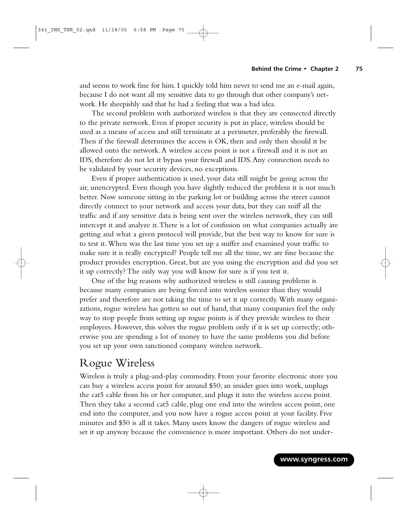and seems to work fine for him. I quickly told him never to send me an e-mail again, because I do not want all my sensitive data to go through that other company's network. He sheepishly said that he had a feeling that was a bad idea.

The second problem with authorized wireless is that they are connected directly to the private network. Even if proper security is put in place, wireless should be used as a means of access and still terminate at a perimeter, preferably the firewall. Then if the firewall determines the access is OK, then and only then should it be allowed onto the network.A wireless access point is not a firewall and it is not an IDS, therefore do not let it bypass your firewall and IDS.Any connection needs to be validated by your security devices, no exceptions.

Even if proper authentication is used, your data still might be going across the air, unencrypted. Even though you have slightly reduced the problem it is not much better. Now someone sitting in the parking lot or building across the street cannot directly connect to your network and access your data, but they can sniff all the traffic and if any sensitive data is being sent over the wireless network, they can still intercept it and analyze it.There is a lot of confusion on what companies actually are getting and what a given protocol will provide, but the best way to know for sure is to test it. When was the last time you set up a sniffer and examined your traffic to make sure it is really encrypted? People tell me all the time, we are fine because the product provides encryption. Great, but are you using the encryption and did you set it up correctly? The only way you will know for sure is if you test it.

One of the big reasons why authorized wireless is still causing problems is because many companies are being forced into wireless sooner than they would prefer and therefore are not taking the time to set it up correctly. With many organizations, rogue wireless has gotten so out of hand, that many companies feel the only way to stop people from setting up rogue points is if they provide wireless to their employees. However, this solves the rogue problem only if it is set up correctly; otherwise you are spending a lot of money to have the same problems you did before you set up your own sanctioned company wireless network.

#### Rogue Wireless

Wireless is truly a plug-and-play commodity. From your favorite electronic store you can buy a wireless access point for around \$50; an insider goes into work, unplugs the cat5 cable from his or her computer, and plugs it into the wireless access point. Then they take a second cat5 cable, plug one end into the wireless access point, one end into the computer, and you now have a rogue access point at your facility. Five minutes and \$50 is all it takes. Many users know the dangers of rogue wireless and set it up anyway because the convenience is more important. Others do not under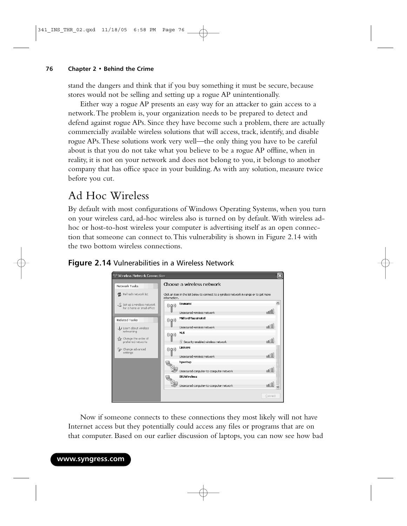stand the dangers and think that if you buy something it must be secure, because stores would not be selling and setting up a rogue AP unintentionally.

Either way a rogue AP presents an easy way for an attacker to gain access to a network.The problem is, your organization needs to be prepared to detect and defend against rogue APs. Since they have become such a problem, there are actually commercially available wireless solutions that will access, track, identify, and disable rogue APs.These solutions work very well—the only thing you have to be careful about is that you do not take what you believe to be a rogue AP offline, when in reality, it is not on your network and does not belong to you, it belongs to another company that has office space in your building.As with any solution, measure twice before you cut.

#### Ad Hoc Wireless

By default with most configurations of Windows Operating Systems, when you turn on your wireless card, ad-hoc wireless also is turned on by default. With wireless adhoc or host-to-host wireless your computer is advertising itself as an open connection that someone can connect to.This vulnerability is shown in Figure 2.14 with the two bottom wireless connections.

#### **Figure 2.14** Vulnerabilities in a Wireless Network

| ((1)) Wireless Network Connection                       |                                                                                                          |         |
|---------------------------------------------------------|----------------------------------------------------------------------------------------------------------|---------|
| <b>Network Tasks</b>                                    | Choose a wireless network                                                                                |         |
| 정 Refresh network list                                  | Click an item in the list below to connect to a wireless network in range or to get more<br>information. |         |
| Set up a wireless network<br>for a home or small office | tsunami<br>$(\textcircled{\scriptsize\textsf{}})$                                                        |         |
|                                                         | Unsecured wireless network                                                                               | an All  |
| <b>Related Tasks</b>                                    | MilfordPlazaHotel<br>$(\langle \mathbb{Q} \rangle)$                                                      |         |
| (i) Learn about wireless                                | <b>Unsecured wireless network</b>                                                                        | anOU    |
| networking                                              | <b>NLS</b><br>$(\langle \varphi \rangle)$                                                                |         |
| Change the order of<br>preferred networks<br>ਵੰ≽        | Security-enabled wireless network                                                                        | aaOU    |
| Change advanced                                         | Linksys<br>((Q))                                                                                         |         |
| settings                                                | Unsecured wireless network                                                                               | anill   |
|                                                         | hpsetup                                                                                                  |         |
|                                                         | Unsecured computer-to-computer network                                                                   | anoll   |
|                                                         | <b>ISUWireless</b>                                                                                       |         |
|                                                         | Unsecured computer-to-computer network                                                                   | aaOU    |
|                                                         |                                                                                                          | Connect |

Now if someone connects to these connections they most likely will not have Internet access but they potentially could access any files or programs that are on that computer. Based on our earlier discussion of laptops, you can now see how bad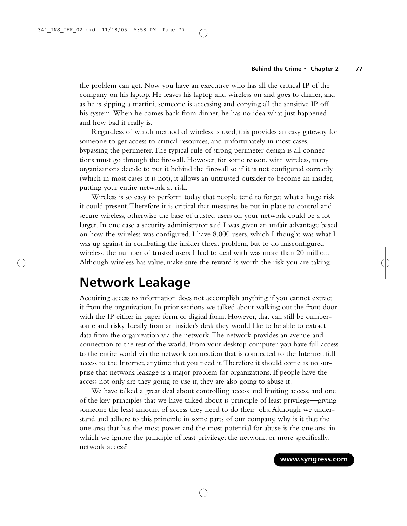the problem can get. Now you have an executive who has all the critical IP of the company on his laptop. He leaves his laptop and wireless on and goes to dinner, and as he is sipping a martini, someone is accessing and copying all the sensitive IP off his system. When he comes back from dinner, he has no idea what just happened and how bad it really is.

Regardless of which method of wireless is used, this provides an easy gateway for someone to get access to critical resources, and unfortunately in most cases, bypassing the perimeter.The typical rule of strong perimeter design is all connections must go through the firewall. However, for some reason, with wireless, many organizations decide to put it behind the firewall so if it is not configured correctly (which in most cases it is not), it allows an untrusted outsider to become an insider, putting your entire network at risk.

Wireless is so easy to perform today that people tend to forget what a huge risk it could present.Therefore it is critical that measures be put in place to control and secure wireless, otherwise the base of trusted users on your network could be a lot larger. In one case a security administrator said I was given an unfair advantage based on how the wireless was configured. I have 8,000 users, which I thought was what I was up against in combating the insider threat problem, but to do misconfigured wireless, the number of trusted users I had to deal with was more than 20 million. Although wireless has value, make sure the reward is worth the risk you are taking.

# **Network Leakage**

Acquiring access to information does not accomplish anything if you cannot extract it from the organization. In prior sections we talked about walking out the front door with the IP either in paper form or digital form. However, that can still be cumbersome and risky. Ideally from an insider's desk they would like to be able to extract data from the organization via the network.The network provides an avenue and connection to the rest of the world. From your desktop computer you have full access to the entire world via the network connection that is connected to the Internet: full access to the Internet, anytime that you need it.Therefore it should come as no surprise that network leakage is a major problem for organizations. If people have the access not only are they going to use it, they are also going to abuse it.

We have talked a great deal about controlling access and limiting access, and one of the key principles that we have talked about is principle of least privilege—giving someone the least amount of access they need to do their jobs.Although we understand and adhere to this principle in some parts of our company, why is it that the one area that has the most power and the most potential for abuse is the one area in which we ignore the principle of least privilege: the network, or more specifically, network access?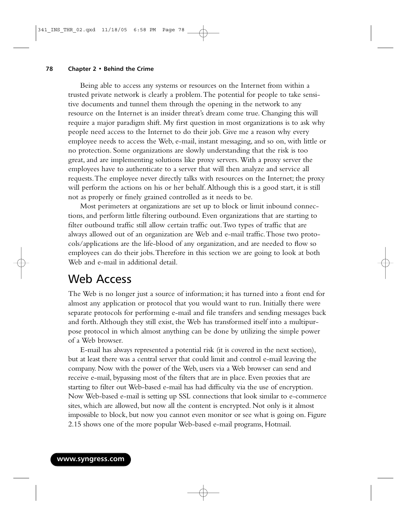Being able to access any systems or resources on the Internet from within a trusted private network is clearly a problem.The potential for people to take sensitive documents and tunnel them through the opening in the network to any resource on the Internet is an insider threat's dream come true. Changing this will require a major paradigm shift. My first question in most organizations is to ask why people need access to the Internet to do their job. Give me a reason why every employee needs to access the Web, e-mail, instant messaging, and so on, with little or no protection. Some organizations are slowly understanding that the risk is too great, and are implementing solutions like proxy servers. With a proxy server the employees have to authenticate to a server that will then analyze and service all requests.The employee never directly talks with resources on the Internet; the proxy will perform the actions on his or her behalf. Although this is a good start, it is still not as properly or finely grained controlled as it needs to be.

Most perimeters at organizations are set up to block or limit inbound connections, and perform little filtering outbound. Even organizations that are starting to filter outbound traffic still allow certain traffic out.Two types of traffic that are always allowed out of an organization are Web and e-mail traffic.Those two protocols/applications are the life-blood of any organization, and are needed to flow so employees can do their jobs.Therefore in this section we are going to look at both Web and e-mail in additional detail.

### Web Access

The Web is no longer just a source of information; it has turned into a front end for almost any application or protocol that you would want to run. Initially there were separate protocols for performing e-mail and file transfers and sending messages back and forth.Although they still exist, the Web has transformed itself into a multipurpose protocol in which almost anything can be done by utilizing the simple power of a Web browser.

E-mail has always represented a potential risk (it is covered in the next section), but at least there was a central server that could limit and control e-mail leaving the company. Now with the power of the Web, users via a Web browser can send and receive e-mail, bypassing most of the filters that are in place. Even proxies that are starting to filter out Web-based e-mail has had difficulty via the use of encryption. Now Web-based e-mail is setting up SSL connections that look similar to e-commerce sites, which are allowed, but now all the content is encrypted. Not only is it almost impossible to block, but now you cannot even monitor or see what is going on. Figure 2.15 shows one of the more popular Web-based e-mail programs, Hotmail.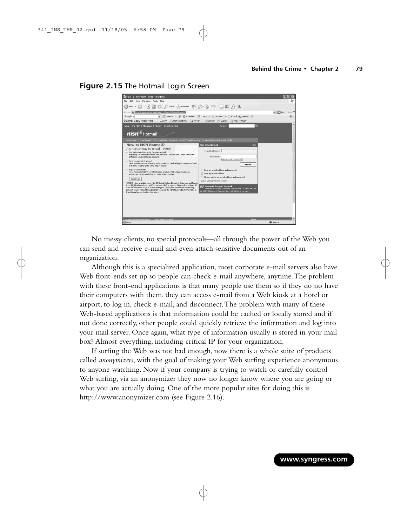#### **Figure 2.15** The Hotmail Login Screen



No messy clients, no special protocols—all through the power of the Web you can send and receive e-mail and even attach sensitive documents out of an organization.

Although this is a specialized application, most corporate e-mail servers also have Web front-ends set up so people can check e-mail anywhere, anytime.The problem with these front-end applications is that many people use them so if they do no have their computers with them, they can access e-mail from a Web kiosk at a hotel or airport, to log in, check e-mail, and disconnect.The problem with many of these Web-based applications is that information could be cached or locally stored and if not done correctly, other people could quickly retrieve the information and log into your mail server. Once again, what type of information usually is stored in your mail box? Almost everything, including critical IP for your organization.

If surfing the Web was not bad enough, now there is a whole suite of products called *anonymizers*, with the goal of making your Web surfing experience anonymous to anyone watching. Now if your company is trying to watch or carefully control Web surfing, via an anonymizer they now no longer know where you are going or what you are actually doing. One of the more popular sites for doing this is http://www.anonymizer.com (see Figure 2.16).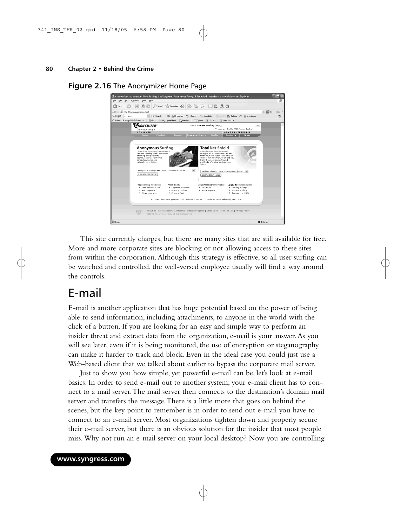**Figure 2.16** The Anonymizer Home Page



This site currently charges, but there are many sites that are still available for free. More and more corporate sites are blocking or not allowing access to these sites from within the corporation.Although this strategy is effective, so all user surfing can be watched and controlled, the well-versed employee usually will find a way around the controls.

### E-mail

E-mail is another application that has huge potential based on the power of being able to send information, including attachments, to anyone in the world with the click of a button. If you are looking for an easy and simple way to perform an insider threat and extract data from the organization, e-mail is your answer.As you will see later, even if it is being monitored, the use of encryption or steganography can make it harder to track and block. Even in the ideal case you could just use a Web-based client that we talked about earlier to bypass the corporate mail server.

Just to show you how simple, yet powerful e-mail can be, let's look at e-mail basics. In order to send e-mail out to another system, your e-mail client has to connect to a mail server.The mail server then connects to the destination's domain mail server and transfers the message.There is a little more that goes on behind the scenes, but the key point to remember is in order to send out e-mail you have to connect to an e-mail server. Most organizations tighten down and properly secure their e-mail server, but there is an obvious solution for the insider that most people miss. Why not run an e-mail server on your local desktop? Now you are controlling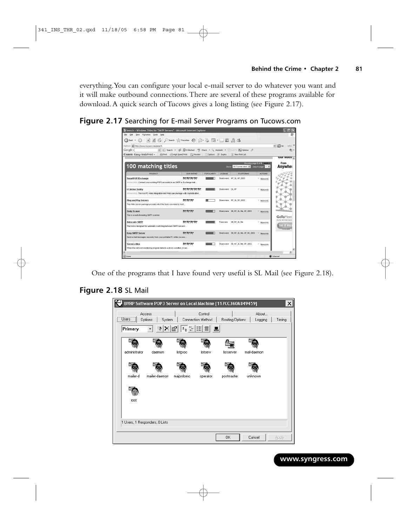everything.You can configure your local e-mail server to do whatever you want and it will make outbound connections.There are several of these programs available for download.A quick search of Tucows gives a long listing (see Figure 2.17).

**Figure 2.17** Searching for E-mail Server Programs on Tucows.com

| Search » Windows Titles for "SMTP Servers" - Microsoft Internet Explorer               |                          |                   |                  |                                        |                            |                             |
|----------------------------------------------------------------------------------------|--------------------------|-------------------|------------------|----------------------------------------|----------------------------|-----------------------------|
| File Edit View Favorites<br>Tools<br>Help                                              |                          |                   |                  |                                        |                            |                             |
| 国国伯 Osearch graventes ④ B - 忌 园 - 口説 & 名<br><b>a</b> Back + €) +                       |                          |                   |                  |                                        |                            |                             |
| Address <b>all</b> http://www.tucows.com/search                                        |                          |                   |                  |                                        |                            | $\vee$ $\Box$ Go<br>Links » |
| v G Search . @ @ Bublocked . S Check . & AutoLink . @ AutoFI Pul Options &<br>Google + |                          |                   |                  |                                        |                            | œ                           |
| CallOII Easy-WebPrint - EPhrk EHigh Speed Print EL Preview                             |                          |                   |                  | Coptions E Duplex   I View Print List  |                            | TOUT MEEU                   |
|                                                                                        |                          |                   |                  |                                        |                            |                             |
| 100 matching titles                                                                    |                          |                   | Show             | All Tucove rated V Jump to page: 1 V   | Showing page 1 of 5 mext a | From<br>Anywher             |
| PRODUCT                                                                                | <b>QUR RATING</b>        | <b>POPULARITY</b> | LICENSE          | PLATFORMS                              | <b>ACTIONS</b>             |                             |
| SmartPOP2Exchange                                                                      | ਕਿਸ ਕਿਸ ਕਿਸ ਕਿਸ          |                   |                  | Shereware NT. 2k, XP, 2003.            | $\mathbb{R}$<br>More info  |                             |
| SPONSORED: Connect your existing POP3 accounts to an SMTP or Exchange mail             |                          |                   |                  |                                        |                            |                             |
| <b>i-Catcher Sentry</b>                                                                | they they they have been |                   | Shareware 2k, XP |                                        |                            |                             |
| SPONSORED: This is a PC-video integration and Web cam package with sophisticated       |                          |                   |                  |                                        | > More info                |                             |
|                                                                                        |                          |                   |                  |                                        |                            |                             |
| <b>Plug and Play Servers</b>                                                           | <b>BOY BOY BOY</b>       |                   |                  | Shareware NT. 2k. XP. 2003             | ×<br>More info             |                             |
| This Web server package provides all of the tools you need to host                     |                          |                   |                  |                                        |                            |                             |
| <b>Smtp Scaner</b>                                                                     | the the the              |                   |                  | Shareware 98, NT, 2k, Me, XP, 2003     | More info                  |                             |
| This is a multi-threading SMTP scanner.                                                |                          |                   |                  |                                        |                            | <b>GoToMeet</b>             |
| <b>Autoroute SMTP</b>                                                                  | they they they they      |                   | Freeware         | 98, NT, 2k, Me                         | ×<br>More info             | COLUMN MEETINGS MADE        |
| This tool is designed for automatic switching between SMTP servers                     |                          |                   |                  |                                        |                            | <b>TRY IT FRE</b>           |
|                                                                                        |                          |                   |                  |                                        |                            | <b>OUTCH MEDE</b>           |
| <b>Easy SMTP Server</b>                                                                | <b>DOMESTICA</b>         |                   |                  | Shareware 98, NT, 2k, Me, XP, 95, 2003 | > More info                |                             |
| Send e-mail messages securely from your portable PC while you are                      |                          |                   |                  |                                        |                            |                             |
| <b>Servers Alive</b>                                                                   | සිය සිය සිය              |                   |                  | Shareware 98, NT, 2k, Me, XP, 2003     | $\mathcal{D}$<br>More info |                             |
| When this network monitoring program detects a down condition, it can                  |                          |                   |                  |                                        |                            |                             |
|                                                                                        |                          |                   |                  |                                        |                            | $\,$                        |
| 231 Done                                                                               |                          |                   |                  |                                        |                            | <b>10</b> Internet          |

One of the programs that I have found very useful is SL Mail (see Figure 2.18).

#### **Figure 2.18** SL Mail



**www.syngress.com**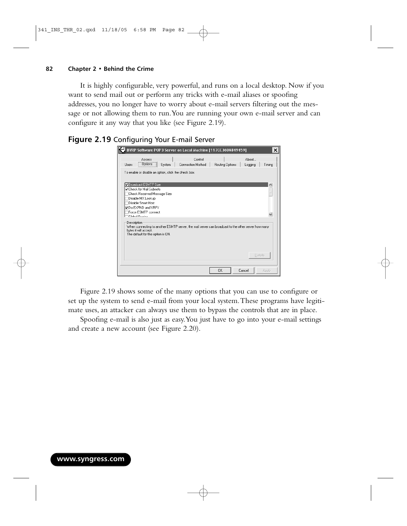It is highly configurable, very powerful, and runs on a local desktop. Now if you want to send mail out or perform any tricks with e-mail aliases or spoofing addresses, you no longer have to worry about e-mail servers filtering out the message or not allowing them to run.You are running your own e-mail server and can configure it any way that you like (see Figure 2.19).

#### **Figure 2.19** Configuring Your E-mail Server

| BVRP Software POP3 Server on Local Machine [117CC360A849459]                                                                                                                                 | $\times$ |
|----------------------------------------------------------------------------------------------------------------------------------------------------------------------------------------------|----------|
| Control<br>About<br>Access<br>Options<br>Connection Method<br><b>Users</b><br>Routing Options<br>Timing<br>System<br>Logging<br>To enable or disable an option, click the check box.         |          |
| Broadcast ESMTP Size<br>☑Check for Mail Subnets<br>Check Received Message Size<br>Disable MX Lookup<br>Disable Smart Host<br>○Do EXPND and VRFY<br>Force ESMTP connect<br><b>TOIAN OUNSA</b> |          |
| Description<br>When connecting to another ESMTP server, the mail server can broadcast to the other server how many<br>bytes it will accept.<br>The default for this option is ON.<br>Details |          |
| OK<br>Cancel<br>Apply                                                                                                                                                                        |          |

Figure 2.19 shows some of the many options that you can use to configure or set up the system to send e-mail from your local system.These programs have legitimate uses, an attacker can always use them to bypass the controls that are in place.

Spoofing e-mail is also just as easy.You just have to go into your e-mail settings and create a new account (see Figure 2.20).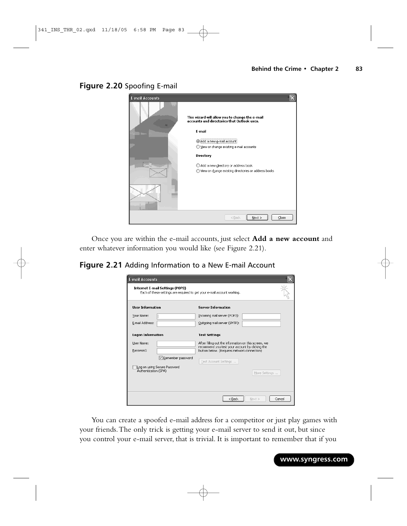#### **Figure 2.20** Spoofing E-mail



Once you are within the e-mail accounts, just select **Add a new account** and enter whatever information you would like (see Figure 2.21).

**Figure 2.21** Adding Information to a New E-mail Account

| <b>E-mail Accounts</b>                                                                                            |                   |                                                                                                         |                  |  |  |  |  |
|-------------------------------------------------------------------------------------------------------------------|-------------------|---------------------------------------------------------------------------------------------------------|------------------|--|--|--|--|
| <b>Internet E-mail Settings (POP3)</b><br>Each of these settings are required to get your e-mail account working. |                   |                                                                                                         |                  |  |  |  |  |
| <b>User Information</b>                                                                                           |                   | <b>Server Information</b>                                                                               |                  |  |  |  |  |
| Your Name:                                                                                                        |                   | Incoming mail server (POP3):                                                                            |                  |  |  |  |  |
| E-mail Address:                                                                                                   |                   | Outgoing mail server (SMTP):                                                                            |                  |  |  |  |  |
| Logon Information                                                                                                 |                   | <b>Test Settings</b>                                                                                    |                  |  |  |  |  |
| User Name:                                                                                                        |                   | After filling out the information on this screen, we<br>recommend you test your account by clicking the |                  |  |  |  |  |
| Password:                                                                                                         |                   | button below. (Requires network connection)                                                             |                  |  |  |  |  |
|                                                                                                                   | Remember password | Test Account Settings                                                                                   |                  |  |  |  |  |
| Log on using Secure Password<br>Authentication (SPA)                                                              |                   |                                                                                                         | More Settings    |  |  |  |  |
|                                                                                                                   |                   |                                                                                                         |                  |  |  |  |  |
|                                                                                                                   |                   |                                                                                                         |                  |  |  |  |  |
|                                                                                                                   |                   | $<$ Back                                                                                                | Next ><br>Cancel |  |  |  |  |

You can create a spoofed e-mail address for a competitor or just play games with your friends.The only trick is getting your e-mail server to send it out, but since you control your e-mail server, that is trivial. It is important to remember that if you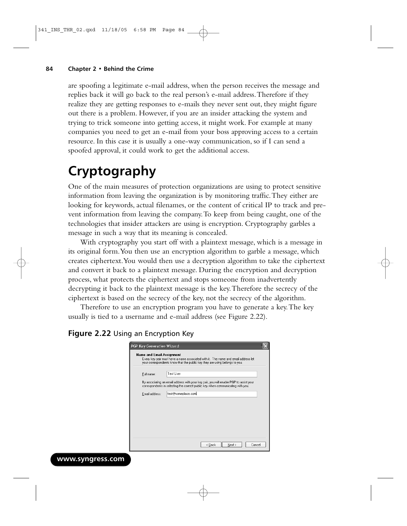are spoofing a legitimate e-mail address, when the person receives the message and replies back it will go back to the real person's e-mail address.Therefore if they realize they are getting responses to e-mails they never sent out, they might figure out there is a problem. However, if you are an insider attacking the system and trying to trick someone into getting access, it might work. For example at many companies you need to get an e-mail from your boss approving access to a certain resource. In this case it is usually a one-way communication, so if I can send a spoofed approval, it could work to get the additional access.

# **Cryptography**

One of the main measures of protection organizations are using to protect sensitive information from leaving the organization is by monitoring traffic.They either are looking for keywords, actual filenames, or the content of critical IP to track and prevent information from leaving the company.To keep from being caught, one of the technologies that insider attackers are using is encryption. Cryptography garbles a message in such a way that its meaning is concealed.

With cryptography you start off with a plaintext message, which is a message in its original form.You then use an encryption algorithm to garble a message, which creates ciphertext.You would then use a decryption algorithm to take the ciphertext and convert it back to a plaintext message. During the encryption and decryption process, what protects the ciphertext and stops someone from inadvertently decrypting it back to the plaintext message is the key.Therefore the secrecy of the ciphertext is based on the secrecy of the key, not the secrecy of the algorithm.

Therefore to use an encryption program you have to generate a key.The key usually is tied to a username and e-mail address (see Figure 2.22).

#### **Figure 2.22** Using an Encryption Key

| Name and Email Assignment | Every key pair must have a name associated with it. The name and email address let<br>your correspondents know that the public key they are using belongs to you.         |
|---------------------------|---------------------------------------------------------------------------------------------------------------------------------------------------------------------------|
| Full name:                | Test User                                                                                                                                                                 |
|                           | By associating an email address with your key pair, you will enable PGP to assist your<br>correspondents in selecting the correct public key when communicating with you. |
| Email address:            | test@someplace.com                                                                                                                                                        |
|                           |                                                                                                                                                                           |
|                           |                                                                                                                                                                           |
|                           |                                                                                                                                                                           |
|                           |                                                                                                                                                                           |
|                           |                                                                                                                                                                           |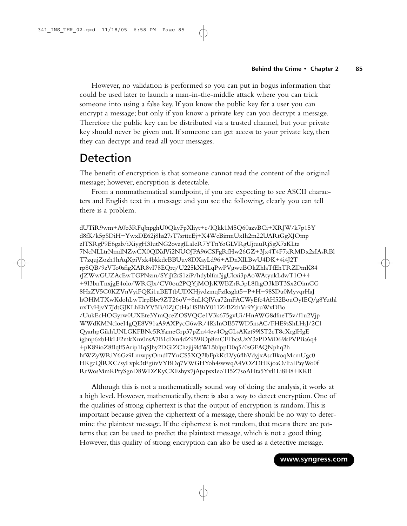However, no validation is performed so you can put in bogus information that could be used later to launch a man-in-the-middle attack where you can trick someone into using a false key. If you know the public key for a user you can encrypt a message; but only if you know a private key can you decrypt a message. Therefore the public key can be distributed via a trusted channel, but your private key should never be given out. If someone can get access to your private key, then they can decrypt and read all your messages.

### Detection

The benefit of encryption is that someone cannot read the content of the original message; however, encryption is detectable.

From a nonmathematical standpoint, if you are expecting to see ASCII characters and English text in a message and you see the following, clearly you can tell there is a problem.

dUTiR9wm+A0b3RFqJnpghU0QkyFpXliyt+c/lQkk1M5Q60azvBCi+XRJW/k7p15Y d8fK/k5pSDiH+YwxDE62j8hs27sT7srttcEj+X4WcBimnUxIh2m22UARtGgXJOmp zITSRgP9E6gab/iXiygH3IutNG2ovzgILaIeR7YTnYoGLVRgUjtuuRjSgX7aKLtz 7NcNLLtrNmdNZwCX0QlXdVi2NUOJPA96CSFgRfHw26GZ+3Jx4T4F7xRMDx2zIAsRBl T7zqujZozh1hAqXpiVxk4bkkdeBBUuv8DXayLd96+ADnXlLBwU4DK+4i4J2T rp8QB/9zVTo0sfigXAR8vI78EQrq/U225kXHLqPwPVgwuBOkZhlaTfEhTRZDmK84 rJZWwGUZAcEwTGPNzm/SYiJf2rS1ziP/hdyblfm3jgUkxi3pAoWAtyukLdwT1O+4 +9I3bnTnxjgE4olo/WRGJx/CV0ou2PQYjMOJsKWBZrR3pL8fhgO3kBT3Sx2OimCG 8HzZV5C0KZVnVyiFQKi1uBETtbUDXHjvdzmqFzfksght5+P+H+98SDu0MyvqrHaJ hOHMTXwKdohLwTlrpBbe9ZT26oV+8nLlQlVca72mFACWyEfc4AH52BouOyIEQ/g8Yuthl uxTvHjvY7JdtGJKLhEhYV5B/0ZjCtHa1fSBhY011ZrBZthVr9YjruWvDBo /UukEcHOGyrw0UXEte3YmQceZOSVQCe1V3k675gvUi/HnAWG8dfneT5v/f1u2Vjp WWdKMNcloeI4gQE8V91aA9AXPycG6wR/4KsInOB57WD5nsAC/FHE9sShLHsJ/2Cl QyarhpGikhUNLGKFBNc5RYameGrp37pZn44ev4OgGLsAKzt99lST2cT8cXrglHgE igbnp6xbHkLF2mkXm0nsA7B1cDm4dZ959IOp8mCFFbcsUzY3zPDMD69kPVPBa6q4 +pK89ioZ8fIqlf5Arip1IqSJhy2DGiZChzjij9ldWL5blppD0q5/0sGFAQNphq2h hfWZyWRiY6Gz9LmwpyOmdI7YnCS5XQ2lbFpkKtLVy6flhVdyjxAscBkoqMcmUgc0 HKgcQlRXC/syLvpk3tEgiivVYBDq7VWGHYoh4swwqA4VOZDHKjoaO/FaIPayWo0f RrWosMmKPtySgnD8WDZKyCXEshyx7jApapsxIeoTI5Z7soAHta5Yvl1Li8H8+KKB

Although this is not a mathematically sound way of doing the analysis, it works at a high level. However, mathematically, there is also a way to detect encryption. One of the qualities of strong ciphertext is that the output of encryption is random.This is important because given the ciphertext of a message, there should be no way to determine the plaintext message. If the ciphertext is not random, that means there are patterns that can be used to predict the plaintext message, which is not a good thing. However, this quality of strong encryption can also be used as a detective message.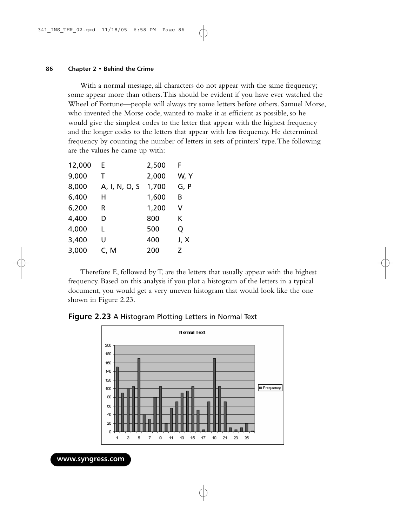With a normal message, all characters do not appear with the same frequency; some appear more than others.This should be evident if you have ever watched the Wheel of Fortune—people will always try some letters before others. Samuel Morse, who invented the Morse code, wanted to make it as efficient as possible, so he would give the simplest codes to the letter that appear with the highest frequency and the longer codes to the letters that appear with less frequency. He determined frequency by counting the number of letters in sets of printers' type.The following are the values he came up with:

| 12,000 | E             | 2,500 | F    |
|--------|---------------|-------|------|
| 9,000  | т             | 2,000 | W, Y |
| 8,000  | A, I, N, O, S | 1,700 | G, P |
| 6,400  | н             | 1,600 | B    |
| 6,200  | R             | 1,200 | v    |
| 4,400  | D             | 800   | ĸ    |
| 4,000  | L             | 500   | Q    |
| 3,400  | U             | 400   | J, X |
| 3,000  | C, M          | 200   | Z    |
|        |               |       |      |

Therefore E, followed by T, are the letters that usually appear with the highest frequency. Based on this analysis if you plot a histogram of the letters in a typical document, you would get a very uneven histogram that would look like the one shown in Figure 2.23.

**Figure 2.23** A Histogram Plotting Letters in Normal Text



**www.syngress.com**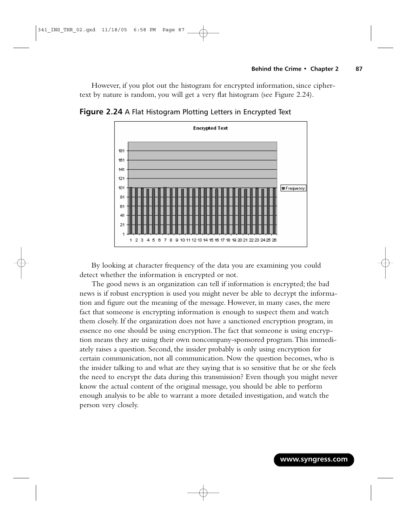However, if you plot out the histogram for encrypted information, since ciphertext by nature is random, you will get a very flat histogram (see Figure 2.24).



**Figure 2.24** A Flat Histogram Plotting Letters in Encrypted Text

By looking at character frequency of the data you are examining you could detect whether the information is encrypted or not.

The good news is an organization can tell if information is encrypted; the bad news is if robust encryption is used you might never be able to decrypt the information and figure out the meaning of the message. However, in many cases, the mere fact that someone is encrypting information is enough to suspect them and watch them closely. If the organization does not have a sanctioned encryption program, in essence no one should be using encryption.The fact that someone is using encryption means they are using their own noncompany-sponsored program.This immediately raises a question. Second, the insider probably is only using encryption for certain communication, not all communication. Now the question becomes, who is the insider talking to and what are they saying that is so sensitive that he or she feels the need to encrypt the data during this transmission? Even though you might never know the actual content of the original message, you should be able to perform enough analysis to be able to warrant a more detailed investigation, and watch the person very closely.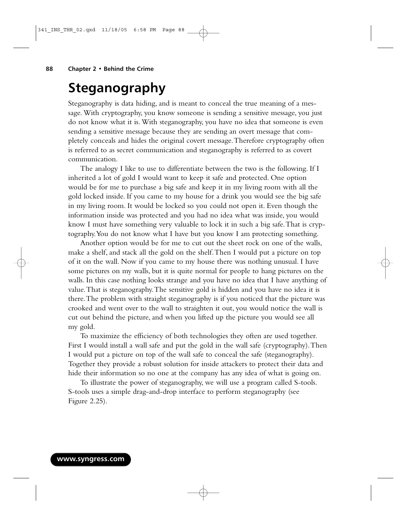# **Steganography**

Steganography is data hiding, and is meant to conceal the true meaning of a message. With cryptography, you know someone is sending a sensitive message, you just do not know what it is. With steganography, you have no idea that someone is even sending a sensitive message because they are sending an overt message that completely conceals and hides the original covert message.Therefore cryptography often is referred to as secret communication and steganography is referred to as covert communication.

The analogy I like to use to differentiate between the two is the following. If I inherited a lot of gold I would want to keep it safe and protected. One option would be for me to purchase a big safe and keep it in my living room with all the gold locked inside. If you came to my house for a drink you would see the big safe in my living room. It would be locked so you could not open it. Even though the information inside was protected and you had no idea what was inside, you would know I must have something very valuable to lock it in such a big safe.That is cryptography.You do not know what I have but you know I am protecting something.

Another option would be for me to cut out the sheet rock on one of the walls, make a shelf, and stack all the gold on the shelf.Then I would put a picture on top of it on the wall. Now if you came to my house there was nothing unusual. I have some pictures on my walls, but it is quite normal for people to hang pictures on the walls. In this case nothing looks strange and you have no idea that I have anything of value.That is steganography.The sensitive gold is hidden and you have no idea it is there.The problem with straight steganography is if you noticed that the picture was crooked and went over to the wall to straighten it out, you would notice the wall is cut out behind the picture, and when you lifted up the picture you would see all my gold.

To maximize the efficiency of both technologies they often are used together. First I would install a wall safe and put the gold in the wall safe (cryptography).Then I would put a picture on top of the wall safe to conceal the safe (steganography). Together they provide a robust solution for inside attackers to protect their data and hide their information so no one at the company has any idea of what is going on.

To illustrate the power of steganography, we will use a program called S-tools. S-tools uses a simple drag-and-drop interface to perform steganography (see Figure 2.25).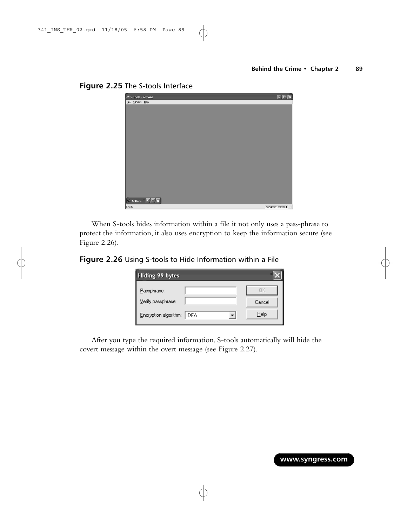**Figure 2.25** The S-tools Interface



When S-tools hides information within a file it not only uses a pass-phrase to protect the information, it also uses encryption to keep the information secure (see Figure 2.26).

**Figure 2.26** Using S-tools to Hide Information within a File

| Hiding 99 bytes       |             |        |
|-----------------------|-------------|--------|
| Passphrase:           |             |        |
| Verify passphrase:    |             | Cancel |
| Encryption algorithm: | <b>HDEA</b> | Help   |

After you type the required information, S-tools automatically will hide the covert message within the overt message (see Figure 2.27).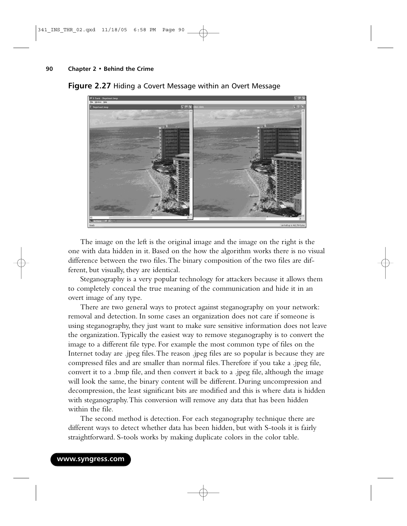

**Figure 2.27** Hiding a Covert Message within an Overt Message

The image on the left is the original image and the image on the right is the one with data hidden in it. Based on the how the algorithm works there is no visual difference between the two files.The binary composition of the two files are different, but visually, they are identical.

Steganography is a very popular technology for attackers because it allows them to completely conceal the true meaning of the communication and hide it in an overt image of any type.

There are two general ways to protect against steganography on your network: removal and detection. In some cases an organization does not care if someone is using steganography, they just want to make sure sensitive information does not leave the organization.Typically the easiest way to remove steganography is to convert the image to a different file type. For example the most common type of files on the Internet today are .jpeg files.The reason .jpeg files are so popular is because they are compressed files and are smaller than normal files.Therefore if you take a .jpeg file, convert it to a .bmp file, and then convert it back to a .jpeg file, although the image will look the same, the binary content will be different. During uncompression and decompression, the least significant bits are modified and this is where data is hidden with steganography.This conversion will remove any data that has been hidden within the file.

The second method is detection. For each steganography technique there are different ways to detect whether data has been hidden, but with S-tools it is fairly straightforward. S-tools works by making duplicate colors in the color table.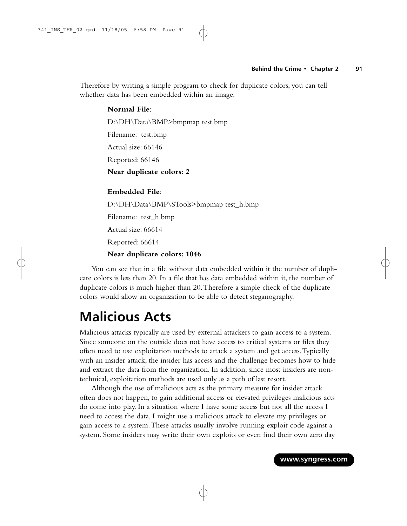Therefore by writing a simple program to check for duplicate colors, you can tell whether data has been embedded within an image.

> **Normal File**: D:\DH\Data\BMP>bmpmap test.bmp Filename: test.bmp Actual size: 66146 Reported: 66146 **Near duplicate colors: 2 Embedded File**: D:\DH\Data\BMP\STools>bmpmap test\_h.bmp Filename: test\_h.bmp Actual size: 66614 Reported: 66614

#### **Near duplicate colors: 1046**

You can see that in a file without data embedded within it the number of duplicate colors is less than 20. In a file that has data embedded within it, the number of duplicate colors is much higher than 20.Therefore a simple check of the duplicate colors would allow an organization to be able to detect steganography.

# **Malicious Acts**

Malicious attacks typically are used by external attackers to gain access to a system. Since someone on the outside does not have access to critical systems or files they often need to use exploitation methods to attack a system and get access.Typically with an insider attack, the insider has access and the challenge becomes how to hide and extract the data from the organization. In addition, since most insiders are nontechnical, exploitation methods are used only as a path of last resort.

Although the use of malicious acts as the primary measure for insider attack often does not happen, to gain additional access or elevated privileges malicious acts do come into play. In a situation where I have some access but not all the access I need to access the data, I might use a malicious attack to elevate my privileges or gain access to a system.These attacks usually involve running exploit code against a system. Some insiders may write their own exploits or even find their own zero day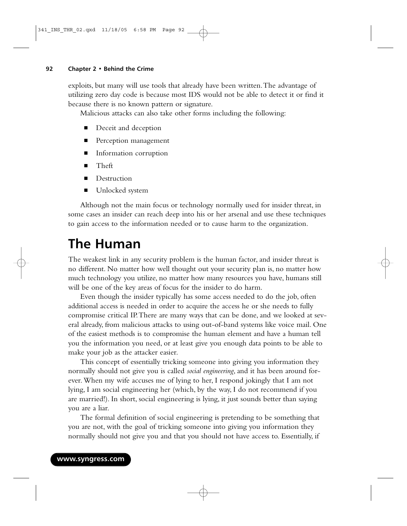exploits, but many will use tools that already have been written.The advantage of utilizing zero day code is because most IDS would not be able to detect it or find it because there is no known pattern or signature.

Malicious attacks can also take other forms including the following:

- Deceit and deception
- Perception management
- Information corruption
- Theft
- Destruction
- Unlocked system

Although not the main focus or technology normally used for insider threat, in some cases an insider can reach deep into his or her arsenal and use these techniques to gain access to the information needed or to cause harm to the organization.

# **The Human**

The weakest link in any security problem is the human factor, and insider threat is no different. No matter how well thought out your security plan is, no matter how much technology you utilize, no matter how many resources you have, humans still will be one of the key areas of focus for the insider to do harm.

Even though the insider typically has some access needed to do the job, often additional access is needed in order to acquire the access he or she needs to fully compromise critical IP.There are many ways that can be done, and we looked at several already, from malicious attacks to using out-of-band systems like voice mail. One of the easiest methods is to compromise the human element and have a human tell you the information you need, or at least give you enough data points to be able to make your job as the attacker easier.

This concept of essentially tricking someone into giving you information they normally should not give you is called *social engineering*, and it has been around forever. When my wife accuses me of lying to her, I respond jokingly that I am not lying, I am social engineering her (which, by the way, I do not recommend if you are married!). In short, social engineering is lying, it just sounds better than saying you are a liar.

The formal definition of social engineering is pretending to be something that you are not, with the goal of tricking someone into giving you information they normally should not give you and that you should not have access to. Essentially, if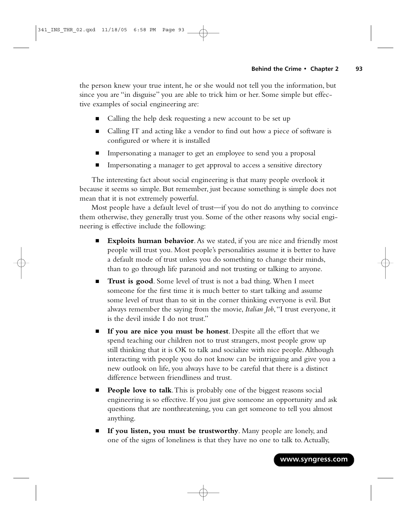the person knew your true intent, he or she would not tell you the information, but since you are "in disguise" you are able to trick him or her. Some simple but effective examples of social engineering are:

- Calling the help desk requesting a new account to be set up
- Calling IT and acting like a vendor to find out how a piece of software is configured or where it is installed
- Impersonating a manager to get an employee to send you a proposal
- Impersonating a manager to get approval to access a sensitive directory

The interesting fact about social engineering is that many people overlook it because it seems so simple. But remember, just because something is simple does not mean that it is not extremely powerful.

Most people have a default level of trust—if you do not do anything to convince them otherwise, they generally trust you. Some of the other reasons why social engineering is effective include the following:

- **Exploits human behavior**. As we stated, if you are nice and friendly most people will trust you. Most people's personalities assume it is better to have a default mode of trust unless you do something to change their minds, than to go through life paranoid and not trusting or talking to anyone.
- **Trust is good**. Some level of trust is not a bad thing. When I meet someone for the first time it is much better to start talking and assume some level of trust than to sit in the corner thinking everyone is evil. But always remember the saying from the movie, *Italian Job*,"I trust everyone, it is the devil inside I do not trust."
- **If you are nice you must be honest**. Despite all the effort that we spend teaching our children not to trust strangers, most people grow up still thinking that it is OK to talk and socialize with nice people.Although interacting with people you do not know can be intriguing and give you a new outlook on life, you always have to be careful that there is a distinct difference between friendliness and trust.
- **People love to talk**. This is probably one of the biggest reasons social engineering is so effective. If you just give someone an opportunity and ask questions that are nonthreatening, you can get someone to tell you almost anything.
- **If you listen, you must be trustworthy**. Many people are lonely, and one of the signs of loneliness is that they have no one to talk to.Actually,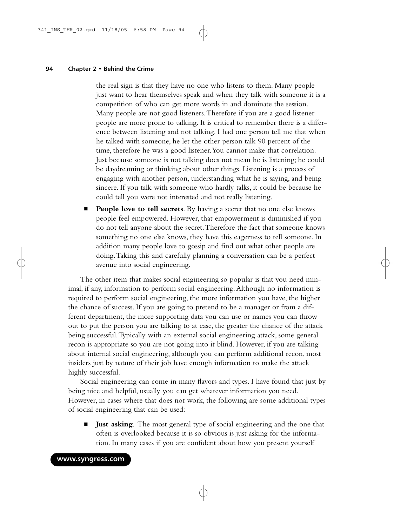the real sign is that they have no one who listens to them. Many people just want to hear themselves speak and when they talk with someone it is a competition of who can get more words in and dominate the session. Many people are not good listeners.Therefore if you are a good listener people are more prone to talking. It is critical to remember there is a difference between listening and not talking. I had one person tell me that when he talked with someone, he let the other person talk 90 percent of the time, therefore he was a good listener.You cannot make that correlation. Just because someone is not talking does not mean he is listening; he could be daydreaming or thinking about other things. Listening is a process of engaging with another person, understanding what he is saying, and being sincere. If you talk with someone who hardly talks, it could be because he could tell you were not interested and not really listening.

■ **People love to tell secrets**. By having a secret that no one else knows people feel empowered. However, that empowerment is diminished if you do not tell anyone about the secret.Therefore the fact that someone knows something no one else knows, they have this eagerness to tell someone. In addition many people love to gossip and find out what other people are doing.Taking this and carefully planning a conversation can be a perfect avenue into social engineering.

The other item that makes social engineering so popular is that you need minimal, if any, information to perform social engineering.Although no information is required to perform social engineering, the more information you have, the higher the chance of success. If you are going to pretend to be a manager or from a different department, the more supporting data you can use or names you can throw out to put the person you are talking to at ease, the greater the chance of the attack being successful.Typically with an external social engineering attack, some general recon is appropriate so you are not going into it blind. However, if you are talking about internal social engineering, although you can perform additional recon, most insiders just by nature of their job have enough information to make the attack highly successful.

Social engineering can come in many flavors and types. I have found that just by being nice and helpful, usually you can get whatever information you need. However, in cases where that does not work, the following are some additional types of social engineering that can be used:

■ **Just asking**. The most general type of social engineering and the one that often is overlooked because it is so obvious is just asking for the information. In many cases if you are confident about how you present yourself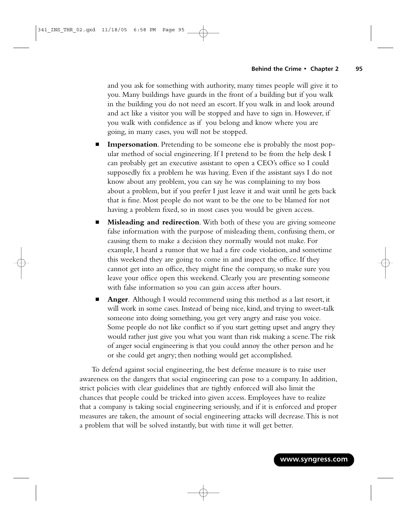and you ask for something with authority, many times people will give it to you. Many buildings have guards in the front of a building but if you walk in the building you do not need an escort. If you walk in and look around and act like a visitor you will be stopped and have to sign in. However, if you walk with confidence as if you belong and know where you are going, in many cases, you will not be stopped.

- **Impersonation**. Pretending to be someone else is probably the most popular method of social engineering. If I pretend to be from the help desk I can probably get an executive assistant to open a CEO's office so I could supposedly fix a problem he was having. Even if the assistant says I do not know about any problem, you can say he was complaining to my boss about a problem, but if you prefer I just leave it and wait until he gets back that is fine. Most people do not want to be the one to be blamed for not having a problem fixed, so in most cases you would be given access.
- **Misleading and redirection**. With both of these you are giving someone false information with the purpose of misleading them, confusing them, or causing them to make a decision they normally would not make. For example, I heard a rumor that we had a fire code violation, and sometime this weekend they are going to come in and inspect the office. If they cannot get into an office, they might fine the company, so make sure you leave your office open this weekend. Clearly you are presenting someone with false information so you can gain access after hours.
- **Anger**. Although I would recommend using this method as a last resort, it will work in some cases. Instead of being nice, kind, and trying to sweet-talk someone into doing something, you get very angry and raise you voice. Some people do not like conflict so if you start getting upset and angry they would rather just give you what you want than risk making a scene.The risk of anger social engineering is that you could annoy the other person and he or she could get angry; then nothing would get accomplished.

To defend against social engineering, the best defense measure is to raise user awareness on the dangers that social engineering can pose to a company. In addition, strict policies with clear guidelines that are tightly enforced will also limit the chances that people could be tricked into given access. Employees have to realize that a company is taking social engineering seriously, and if it is enforced and proper measures are taken, the amount of social engineering attacks will decrease.This is not a problem that will be solved instantly, but with time it will get better.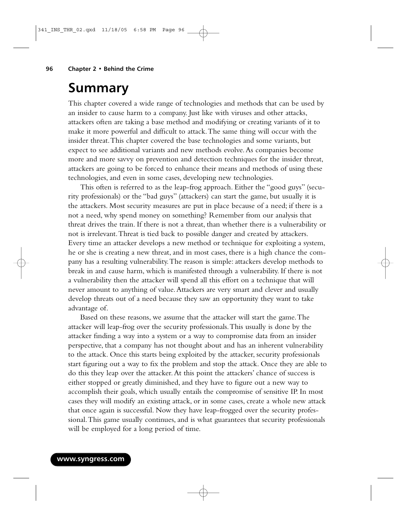### **Summary**

This chapter covered a wide range of technologies and methods that can be used by an insider to cause harm to a company. Just like with viruses and other attacks, attackers often are taking a base method and modifying or creating variants of it to make it more powerful and difficult to attack.The same thing will occur with the insider threat.This chapter covered the base technologies and some variants, but expect to see additional variants and new methods evolve.As companies become more and more savvy on prevention and detection techniques for the insider threat, attackers are going to be forced to enhance their means and methods of using these technologies, and even in some cases, developing new technologies.

This often is referred to as the leap-frog approach. Either the "good guys" (security professionals) or the "bad guys" (attackers) can start the game, but usually it is the attackers. Most security measures are put in place because of a need; if there is a not a need, why spend money on something? Remember from our analysis that threat drives the train. If there is not a threat, than whether there is a vulnerability or not is irrelevant.Threat is tied back to possible danger and created by attackers. Every time an attacker develops a new method or technique for exploiting a system, he or she is creating a new threat, and in most cases, there is a high chance the company has a resulting vulnerability.The reason is simple: attackers develop methods to break in and cause harm, which is manifested through a vulnerability. If there is not a vulnerability then the attacker will spend all this effort on a technique that will never amount to anything of value.Attackers are very smart and clever and usually develop threats out of a need because they saw an opportunity they want to take advantage of.

Based on these reasons, we assume that the attacker will start the game.The attacker will leap-frog over the security professionals.This usually is done by the attacker finding a way into a system or a way to compromise data from an insider perspective, that a company has not thought about and has an inherent vulnerability to the attack. Once this starts being exploited by the attacker, security professionals start figuring out a way to fix the problem and stop the attack. Once they are able to do this they leap over the attacker.At this point the attackers' chance of success is either stopped or greatly diminished, and they have to figure out a new way to accomplish their goals, which usually entails the compromise of sensitive IP. In most cases they will modify an existing attack, or in some cases, create a whole new attack that once again is successful. Now they have leap-frogged over the security professional.This game usually continues, and is what guarantees that security professionals will be employed for a long period of time.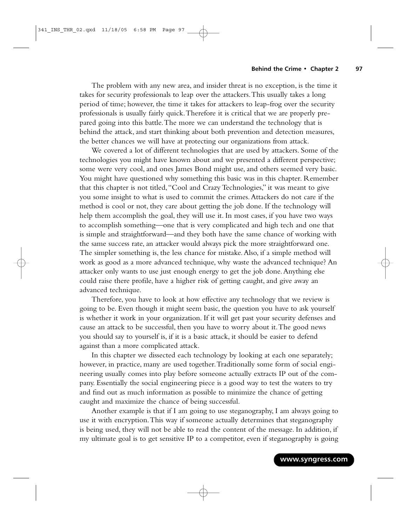The problem with any new area, and insider threat is no exception, is the time it takes for security professionals to leap over the attackers.This usually takes a long period of time; however, the time it takes for attackers to leap-frog over the security professionals is usually fairly quick.Therefore it is critical that we are properly prepared going into this battle.The more we can understand the technology that is behind the attack, and start thinking about both prevention and detection measures, the better chances we will have at protecting our organizations from attack.

We covered a lot of different technologies that are used by attackers. Some of the technologies you might have known about and we presented a different perspective; some were very cool, and ones James Bond might use, and others seemed very basic. You might have questioned why something this basic was in this chapter. Remember that this chapter is not titled,"Cool and Crazy Technologies," it was meant to give you some insight to what is used to commit the crimes.Attackers do not care if the method is cool or not, they care about getting the job done. If the technology will help them accomplish the goal, they will use it. In most cases, if you have two ways to accomplish something—one that is very complicated and high tech and one that is simple and straightforward—and they both have the same chance of working with the same success rate, an attacker would always pick the more straightforward one. The simpler something is, the less chance for mistake.Also, if a simple method will work as good as a more advanced technique, why waste the advanced technique? An attacker only wants to use just enough energy to get the job done.Anything else could raise there profile, have a higher risk of getting caught, and give away an advanced technique.

Therefore, you have to look at how effective any technology that we review is going to be. Even though it might seem basic, the question you have to ask yourself is whether it work in your organization. If it will get past your security defenses and cause an attack to be successful, then you have to worry about it.The good news you should say to yourself is, if it is a basic attack, it should be easier to defend against than a more complicated attack.

In this chapter we dissected each technology by looking at each one separately; however, in practice, many are used together.Traditionally some form of social engineering usually comes into play before someone actually extracts IP out of the company. Essentially the social engineering piece is a good way to test the waters to try and find out as much information as possible to minimize the chance of getting caught and maximize the chance of being successful.

Another example is that if I am going to use steganography, I am always going to use it with encryption.This way if someone actually determines that steganography is being used, they will not be able to read the content of the message. In addition, if my ultimate goal is to get sensitive IP to a competitor, even if steganography is going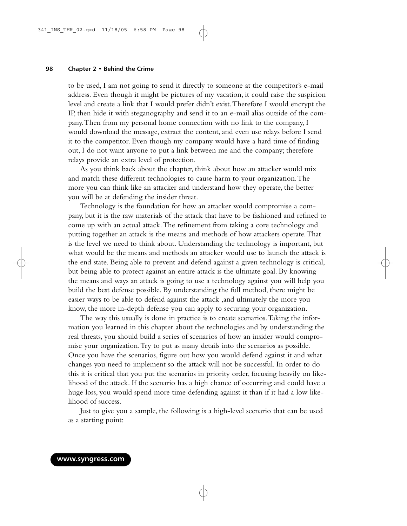to be used, I am not going to send it directly to someone at the competitor's e-mail address. Even though it might be pictures of my vacation, it could raise the suspicion level and create a link that I would prefer didn't exist.Therefore I would encrypt the IP, then hide it with steganography and send it to an e-mail alias outside of the company.Then from my personal home connection with no link to the company, I would download the message, extract the content, and even use relays before I send it to the competitor. Even though my company would have a hard time of finding out, I do not want anyone to put a link between me and the company; therefore relays provide an extra level of protection.

As you think back about the chapter, think about how an attacker would mix and match these different technologies to cause harm to your organization.The more you can think like an attacker and understand how they operate, the better you will be at defending the insider threat.

Technology is the foundation for how an attacker would compromise a company, but it is the raw materials of the attack that have to be fashioned and refined to come up with an actual attack.The refinement from taking a core technology and putting together an attack is the means and methods of how attackers operate.That is the level we need to think about. Understanding the technology is important, but what would be the means and methods an attacker would use to launch the attack is the end state. Being able to prevent and defend against a given technology is critical, but being able to protect against an entire attack is the ultimate goal. By knowing the means and ways an attack is going to use a technology against you will help you build the best defense possible. By understanding the full method, there might be easier ways to be able to defend against the attack ,and ultimately the more you know, the more in-depth defense you can apply to securing your organization.

The way this usually is done in practice is to create scenarios.Taking the information you learned in this chapter about the technologies and by understanding the real threats, you should build a series of scenarios of how an insider would compromise your organization.Try to put as many details into the scenarios as possible. Once you have the scenarios, figure out how you would defend against it and what changes you need to implement so the attack will not be successful. In order to do this it is critical that you put the scenarios in priority order, focusing heavily on likelihood of the attack. If the scenario has a high chance of occurring and could have a huge loss, you would spend more time defending against it than if it had a low likelihood of success.

Just to give you a sample, the following is a high-level scenario that can be used as a starting point: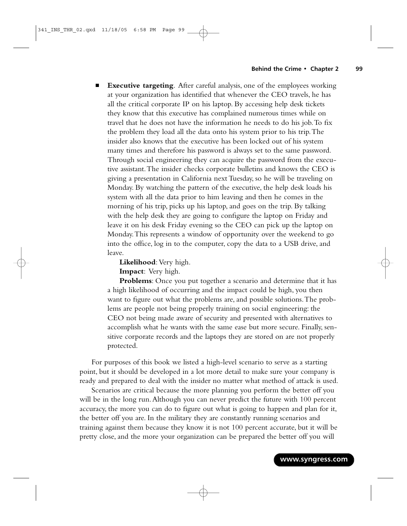■ **Executive targeting**. After careful analysis, one of the employees working at your organization has identified that whenever the CEO travels, he has all the critical corporate IP on his laptop. By accessing help desk tickets they know that this executive has complained numerous times while on travel that he does not have the information he needs to do his job.To fix the problem they load all the data onto his system prior to his trip.The insider also knows that the executive has been locked out of his system many times and therefore his password is always set to the same password. Through social engineering they can acquire the password from the executive assistant.The insider checks corporate bulletins and knows the CEO is giving a presentation in California next Tuesday, so he will be traveling on Monday. By watching the pattern of the executive, the help desk loads his system with all the data prior to him leaving and then he comes in the morning of his trip, picks up his laptop, and goes on the trip. By talking with the help desk they are going to configure the laptop on Friday and leave it on his desk Friday evening so the CEO can pick up the laptop on Monday.This represents a window of opportunity over the weekend to go into the office, log in to the computer, copy the data to a USB drive, and leave.

**Likelihood**: Very high.

**Impact**: Very high.

**Problems**: Once you put together a scenario and determine that it has a high likelihood of occurring and the impact could be high, you then want to figure out what the problems are, and possible solutions.The problems are people not being properly training on social engineering: the CEO not being made aware of security and presented with alternatives to accomplish what he wants with the same ease but more secure. Finally, sensitive corporate records and the laptops they are stored on are not properly protected.

For purposes of this book we listed a high-level scenario to serve as a starting point, but it should be developed in a lot more detail to make sure your company is ready and prepared to deal with the insider no matter what method of attack is used.

Scenarios are critical because the more planning you perform the better off you will be in the long run. Although you can never predict the future with 100 percent accuracy, the more you can do to figure out what is going to happen and plan for it, the better off you are. In the military they are constantly running scenarios and training against them because they know it is not 100 percent accurate, but it will be pretty close, and the more your organization can be prepared the better off you will